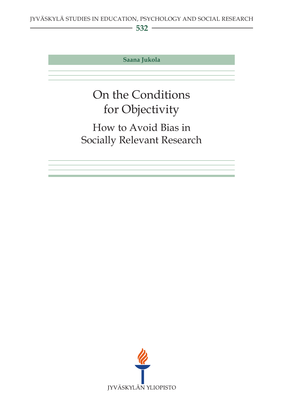**532**

**Saana Jukola**

# On the Conditions for Objectivity

## How to Avoid Bias in Socially Relevant Research

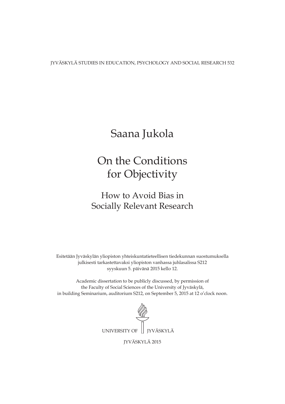JYVÄSKYLÄ STUDIES IN EDUCATION, PSYCHOLOGY AND SOCIAL RESEARCH 532

## Saana Jukola

## On the Conditions for Objectivity

## How to Avoid Bias in Socially Relevant Research

Esitetään Jyväskylän yliopiston yhteiskuntatieteellisen tiedekunnan suostumuksella julkisesti tarkastettavaksi yliopiston vanhassa juhlasalissa S212 syyskuun 5. päivänä 2015 kello 12.

Academic dissertation to be publicly discussed, by permission of the Faculty of Social Sciences of the University of Jyväskylä, in building Seminarium, auditorium S212, on September 5, 2015 at 12 o'clock noon.



JYVÄSKYLÄ 2015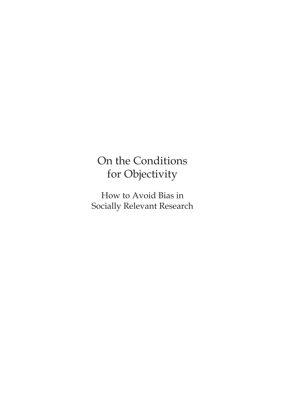# On the Conditions for Objectivity

How to Avoid Bias in Socially Relevant Research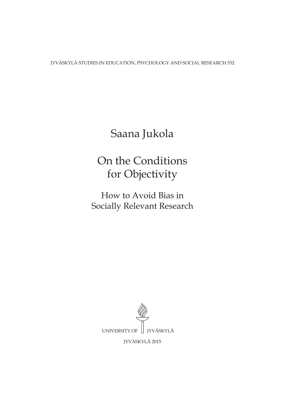JYVÄSKYLÄ STUDIES IN EDUCATION, PSYCHOLOGY AND SOCIAL RESEARCH 532

## Saana Jukola

## On the Conditions for Objectivity

How to Avoid Bias in Socially Relevant Research

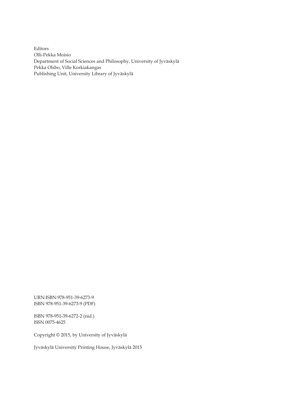Editors Olli-Pekka Moisio Department of Social Sciences and Philosophy, University of Jyväskylä Pekka Olsbo, Ville Korkiakangas Publishing Unit, University Library of Jyväskylä

URN:ISBN:978-951-39-6273-9 ISBN 978-951-39-6273-9 (PDF)

ISBN 978-951-39-6272-2 (nid.) ISSN 0075-4625

Copyright © 2015, by University of Jyväskylä

Jyväskylä University Printing House, Jyväskylä 2015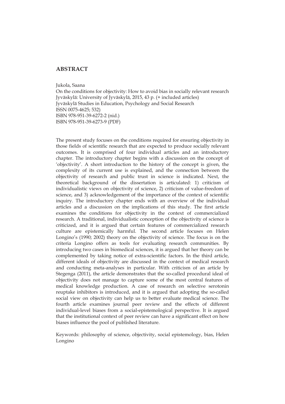### **ABSTRACT**

Jukola, Saana

On the conditions for objectivity: How to avoid bias in socially relevant research Jyväskylä: University of Jyväskylä, 2015, 43 p. (+ included articles) Jyväskylä Studies in Education, Psychology and Social Research ISSN 0075-4625; 532) ISBN 978-951-39-6272-2 (nid.) ISBN 978-951-39-6273-9 (PDF)

The present study focuses on the conditions required for ensuring objectivity in those fields of scientific research that are expected to produce socially relevant outcomes. It is comprised of four individual articles and an introductory chapter. The introductory chapter begins with a discussion on the concept of 'objectivity'. A short introduction to the history of the concept is given, the complexity of its current use is explained, and the connection between the objectivity of research and public trust in science is indicated. Next, the theoretical background of the dissertation is articulated: 1) criticism of individualistic views on objectivity of science, 2) criticism of value-freedom of science, and 3) acknowledgement of the importance of the context of scientific inquiry. The introductory chapter ends with an overview of the individual articles and a discussion on the implications of this study. The first article examines the conditions for objectivity in the context of commercialized research. A traditional, individualistic conception of the objectivity of science is criticized, and it is argued that certain features of commercialized research culture are epistemically harmful. The second article focuses on Helen Longino's (1990; 2002) theory on the objectivity of science. The focus is on the criteria Longino offers as tools for evaluating research communities. By introducing two cases in biomedical sciences, it is argued that her theory can be complemented by taking notice of extra-scientific factors. In the third article, different ideals of objectivity are discussed in the context of medical research and conducting meta-analyses in particular. With criticism of an article by Stegenga (2011), the article demonstrates that the so-called procedural ideal of objectivity does not manage to capture some of the most central features of medical knowledge production. A case of research on selective serotonin reuptake inhibitors is introduced, and it is argued that adopting the so-called social view on objectivity can help us to better evaluate medical science. The fourth article examines journal peer review and the effects of different individual-level biases from a social-epistemological perspective. It is argued that the institutional context of peer review can have a significant effect on how biases influence the pool of published literature.

Keywords: philosophy of science, objectivity, social epistemology, bias, Helen Longino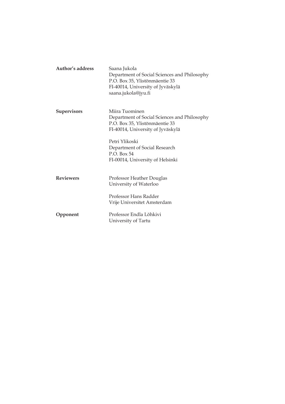| Author's address   | Saana Jukola<br>Department of Social Sciences and Philosophy<br>P.O. Box 35, Ylistönmäentie 33<br>FI-40014, University of Jyväskylä<br>saana.jukola@jyu.fi |
|--------------------|------------------------------------------------------------------------------------------------------------------------------------------------------------|
| <b>Supervisors</b> | Miira Tuominen<br>Department of Social Sciences and Philosophy<br>P.O. Box 35, Ylistönmäentie 33<br>FI-40014, University of Jyväskylä                      |
|                    | Petri Ylikoski<br>Department of Social Research<br>$P.O.$ Box 54<br>FI-00014, University of Helsinki                                                       |
| <b>Reviewers</b>   | Professor Heather Douglas<br>University of Waterloo                                                                                                        |
|                    | Professor Hans Radder<br>Vrije Universitet Amsterdam                                                                                                       |
| Opponent           | Professor Endla Lõhkivi<br>University of Tartu                                                                                                             |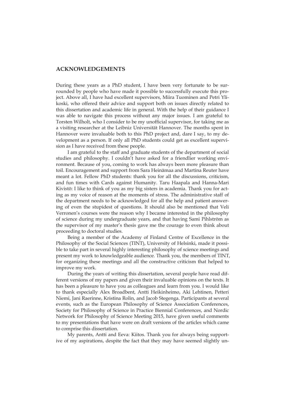#### **ACKNOWLEDGEMENTS**

During these years as a PhD student, I have been very fortunate to be surrounded by people who have made it possible to successfully execute this project. Above all, I have had excellent supervisors, Miira Tuominen and Petri Ylikoski, who offered their advice and support both on issues directly related to this dissertation and academic life in general. With the help of their guidance I was able to navigate this process without any major issues. I am grateful to Torsten Wilholt, who I consider to be my unofficial supervisor, for taking me as a visiting researcher at the Leibniz Universität Hannover. The months spent in Hannover were invaluable both to this PhD project and, dare I say, to my development as a person. If only all PhD students could get as excellent supervision as I have received from these people.

I am grateful to the staff and graduate students of the department of social studies and philosophy. I couldn't have asked for a friendlier working environment. Because of you, coming to work has always been more pleasure than toil. Encouragement and support from Sara Heinämaa and Martina Reuter have meant a lot. Fellow PhD students: thank you for all the discussions, criticism, and fun times with Cards against Humanity. Taru Haapala and Hanna-Mari Kivistö: I like to think of you as my big sisters in academia. Thank you for acting as my voice of reason at the moments of stress. The administrative staff of the department needs to be acknowledged for all the help and patient answering of even the stupidest of questions. It should also be mentioned that Veli Verronen's courses were the reason why I became interested in the philosophy of science during my undergraduate years, and that having Sami Pihlström as the supervisor of my master's thesis gave me the courage to even think about proceeding to doctoral studies.

Being a member of the Academy of Finland Centre of Excellence in the Philosophy of the Social Sciences (TINT), University of Helsinki, made it possible to take part in several highly interesting philosophy of science meetings and present my work to knowledgeable audience. Thank you, the members of TINT, for organizing these meetings and all the constructive criticism that helped to improve my work.

During the years of writing this dissertation, several people have read different versions of my papers and given their invaluable opinions on the texts. It has been a pleasure to have you as colleagues and learn from you. I would like to thank especially Alex Broadbent, Antti Heikinheimo, Aki Lehtinen, Petteri Niemi, Jani Raerinne, Kristina Rolin, and Jacob Stegenga. Participants at several events, such as the European Philosophy of Science Association Conferences, Society for Philosophy of Science in Practice Biennial Conferences, and Nordic Network for Philosophy of Science Meeting 2015, have given useful comments to my presentations that have were on draft versions of the articles which came to comprise this dissertation.

My parents, Antti and Eeva: Kiitos. Thank you for always being supportive of my aspirations, despite the fact that they may have seemed slightly un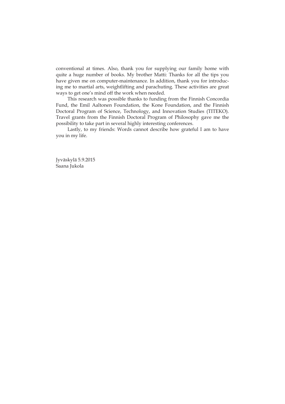conventional at times. Also, thank you for supplying our family home with quite a huge number of books. My brother Matti: Thanks for all the tips you have given me on computer-maintenance. In addition, thank you for introducing me to martial arts, weightlifting and parachuting. These activities are great ways to get one's mind off the work when needed.

This research was possible thanks to funding from the Finnish Concordia Fund, the Emil Aaltonen Foundation, the Kone Foundation, and the Finnish Doctoral Program of Science, Technology, and Innovation Studies (TITEKO). Travel grants from the Finnish Doctoral Program of Philosophy gave me the possibility to take part in several highly interesting conferences.

Lastly, to my friends: Words cannot describe how grateful I am to have you in my life.

Jyväskylä 5.9.2015 Saana Jukola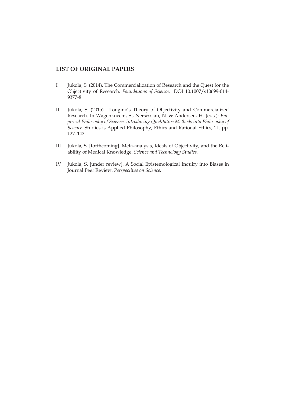### **LIST OF ORIGINAL PAPERS**

- I Jukola, S. (2014). The Commercialization of Research and the Quest for the Objectivity of Research. *Foundations of Science.* DOI 10.1007/s10699-014- 9377-8
- II Jukola, S. (2015). Longino's Theory of Objectivity and Commercialized Research. In Wagenknecht, S., Nersessian, N. & Andersen, H. (eds.): *Empirical Philosophy of Science. Introducing Qualitative Methods into Philosophy of Science.* Studies is Applied Philosophy, Ethics and Rational Ethics, 21. pp. 127–143.
- III Jukola, S. [forthcoming]. Meta-analysis, Ideals of Objectivity, and the Reliability of Medical Knowledge. *Science and Technology Studies.*
- IV Jukola, S. [under review]. A Social Epistemological Inquiry into Biases in Journal Peer Review. *Perspectives on Science.*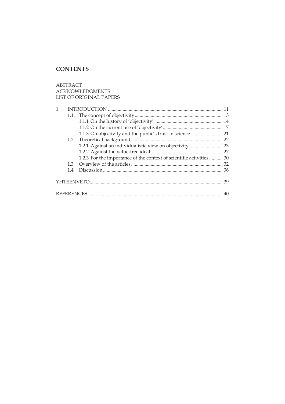## **CONTENTS**

ABSTRACT ACKNOWLEDGMENTS LIST OF ORIGINAL PAPERS

| $\mathbf{1}$ |     |                                                                      |  |
|--------------|-----|----------------------------------------------------------------------|--|
|              |     |                                                                      |  |
|              |     |                                                                      |  |
|              |     |                                                                      |  |
|              |     |                                                                      |  |
|              |     |                                                                      |  |
|              |     |                                                                      |  |
|              |     |                                                                      |  |
|              |     | 1.2.3 For the importance of the context of scientific activities  30 |  |
|              | 1.3 |                                                                      |  |
|              | 1.4 |                                                                      |  |
|              |     |                                                                      |  |
|              |     |                                                                      |  |
|              |     |                                                                      |  |
|              |     |                                                                      |  |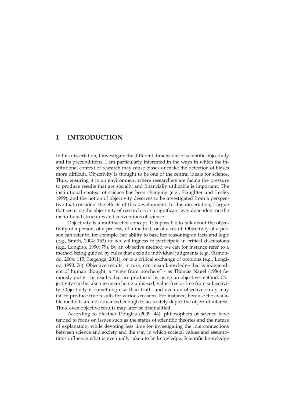### **1 INTRODUCTION**

In this dissertation, I investigate the different dimensions of scientific objectivity and its preconditions. I am particularly interested in the ways in which the institutional context of research may cause biases or make the detection of biases more difficult. Objectivity is thought to be one of the central ideals for science. Thus, ensuring it in an environment where researchers are facing the pressure to produce results that are socially and financially utilizable is important. The institutional context of science has been changing (e.g., Slaughter and Leslie, 1999), and the notion of objectivity deserves to be investigated from a perspective that considers the effects of this development. In this dissertation, I argue that securing the objectivity of research is in a significant way dependent on the institutional structures and conventions of science.

Objectivity is a multifaceted concept. It is possible to talk about the objectivity of a person, of a process, of a method, or of a result. Objectivity of a person can refer to, for example, her ability to base her reasoning on facts and logic (e.g., Smith, 2004: 153) or her willingness to participate in critical discussions (e.g., Longino, 1990: 79). By an objective method we can for instance refer to a method being guided by rules that exclude individual judgments (e.g., Sismondo, 2004: 115; Stegenga, 2011), or to a critical exchange of opinions (e.g., Longino, 1990: 76). Objective results, in turn, can mean knowledge that is independent of human thought, a "view from nowhere" - as Thomas Nagel (1986) famously put it - or results that are produced by using an objective method. Objectivity can be taken to mean being unbiased, value-free or free from subjectivity. Objectivity is something else than truth, and even an objective study may fail to produce true results for various reasons. For instance, because the available methods are not advanced enough to accurately depict the object of interest. Thus, even objective results may later be disqualified.

According to Heather Douglas (2009: 44), philosophers of science have tended to focus on issues such as the status of scientific theories and the nature of explanation, while devoting less time for investigating the interconnections between science and society and the way in which societal values and assumptions influence what is eventually taken to be knowledge. Scientific knowledge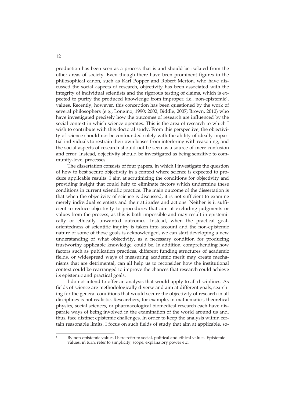production has been seen as a process that is and should be isolated from the other areas of society. Even though there have been prominent figures in the philosophical canon, such as Karl Popper and Robert Merton, who have discussed the social aspects of research, objectivity has been associated with the integrity of individual scientists and the rigorous testing of claims, which is expected to purify the produced knowledge from improper, i.e., non-epistemic<sup>1</sup>, values. Recently, however, this conception has been questioned by the work of several philosophers (e.g., Longino, 1990; 2002; Biddle, 2007; Brown, 2010) who have investigated precisely how the outcomes of research are influenced by the social context in which science operates. This is the area of research to which I wish to contribute with this doctoral study. From this perspective, the objectivity of science should not be confounded solely with the ability of ideally impartial individuals to restrain their own biases from interfering with reasoning, and the social aspects of research should not be seen as a source of mere confusion and error. Instead, objectivity should be investigated as being sensitive to community-level processes.

The dissertation consists of four papers, in which I investigate the question of how to best secure objectivity in a context where science is expected to produce applicable results. I aim at scrutinizing the conditions for objectivity and providing insight that could help to eliminate factors which undermine these conditions in current scientific practice. The main outcome of the dissertation is that when the objectivity of science is discussed, it is not sufficient to examine merely individual scientists and their attitudes and actions. Neither is it sufficient to reduce objectivity to procedures that aim at excluding judgments or values from the process, as this is both impossible and may result in epistemically or ethically unwanted outcomes. Instead, when the practical goalorientedness of scientific inquiry is taken into account and the non-epistemic nature of some of those goals is acknowledged, we can start developing a new understanding of what objectivity, as a necessary condition for producing trustworthy applicable knowledge, could be. In addition, comprehending how factors such as publication practices, different funding structures of academic fields, or widespread ways of measuring academic merit may create mechanisms that are detrimental, can all help us to reconsider how the institutional context could be rearranged to improve the chances that research could achieve its epistemic and practical goals.

I do not intend to offer an analysis that would apply to all disciplines. As fields of science are methodologically diverse and aim at different goals, searching for the general conditions that would secure the objectivity of research in all disciplines is not realistic. Researchers, for example, in mathematics, theoretical physics, social sciences, or pharmacological biomedical research each have disparate ways of being involved in the examination of the world around us and, thus, face distinct epistemic challenges. In order to keep the analysis within certain reasonable limits, I focus on such fields of study that aim at applicable, so-

-

<sup>1</sup> By non-epistemic values I here refer to social, political and ethical values. Epistemic values, in turn, refer to simplicity, scope, explanatory power etc.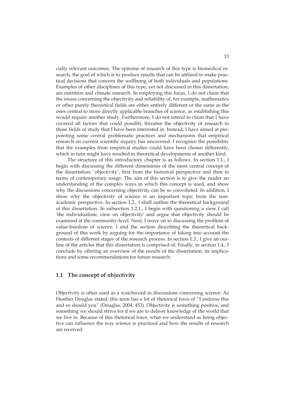cially relevant outcomes. The epitome of research of this type is biomedical research, the goal of which is to produce results that can be utilized to make practical decisions that concern the wellbeing of both individuals and populations. Examples of other disciplines of this type, yet not discussed in this dissertation, are nutrition and climate research. In employing this focus, I do not claim that the issues concerning the objectivity and reliability of, for example, mathematics or other purely theoretical fields are either entirely different or the same as the ones central to more directly applicable branches of science, as establishing this would require another study. Furthermore, I do not intend to claim that I have covered all factors that could possibly threaten the objectivity of research in those fields of study that I have been interested in. Instead, I have aimed at pinpointing some central problematic practices and mechanisms that empirical research on current scientific inquiry has uncovered. I recognize the possibility that the examples from empirical studies could have been chosen differently, which in turn might have resulted in theoretical developments of another kind.

The structure of this introductory chapter is as follows. In section 1.1., I begin with discussing the different dimensions of the most central concept of the dissertation, 'objectivity', first from the historical perspective and then in terms of contemporary usage. The aim of this section is to give the reader an understanding of the complex ways in which this concept is used, and show why the discussions concerning objectivity can be so convoluted. In addition, I show why the objectivity of science is an important topic from the nonacademic perspective. In section 1.2., I shall outline the theoretical background of this dissertation. In subsection 1.2.1., I begin with questioning a view I call 'the individualistic view on objectivity' and argue that objectivity should be examined at the community-level. Next, I move on to discussing the problem of value-freedom of science. I end the section describing the theoretical background of this work by arguing for the importance of taking into account the contexts of different stages of the research process. In section 1.3., I give an outline of the articles that this dissertation is comprised of. Finally, in section 1.4., I conclude by offering an overview of the results of the dissertation, its implications and some recommendations for future research.

### **1.1 The concept of objectivity**

Objectivity is often used as a watchword in discussions concerning science: As Heather Douglas stated, this term has a lot of rhetorical force of "I endorse this and so should you" (Douglas, 2004: 453). Objectivity is something positive, and something we should strive for if we are to deliver knowledge of the world that we live in. Because of this rhetorical force, what we understand as being objective can influence the way science is practiced and how the results of research are received.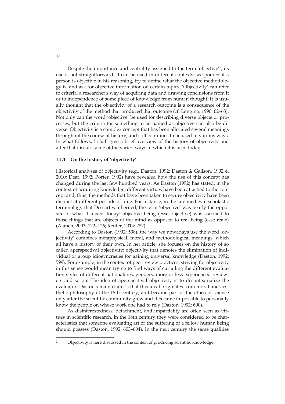Despite the importance and centrality assigned to the term 'objective'2, its use is not straightforward. It can be used in different contexts: we ponder if a person is objective in his reasoning, try to define what the objective methodology is, and ask for objective information on certain topics. 'Objectivity' can refer to criteria, a researcher's way of acquiring data and drawing conclusions from it or to independence of some piece of knowledge from human thought. It is usually thought that the objectivity of a research outcome is a consequence of the objectivity of the method that produced that outcome (cf. Longino, 1990: 62–63). Not only can the word 'objective' be used for describing diverse objects or processes, but the criteria for something to be named as objective can also be diverse. Objectivity is a complex concept that has been allocated several meanings throughout the course of history, and still continues to be used in various ways. In what follows, I shall give a brief overview of the history of objectivity and after that discuss some of the varied ways in which it is used today.

### **1.1.1 On the history of 'objectivity'**

Historical analyses of objectivity (e.g., Daston, 1992; Daston & Galison, 1992 & 2010; Dear, 1992; Porter, 1992) have revealed how the use of this concept has changed during the last few hundred years. As Daston (1992) has stated, in the context of acquiring knowledge, different virtues have been attached to the concept and, thus, the methods that have been taken to secure objectivity have been distinct at different periods of time. For instance, in the late medieval scholastic terminology that Descartes inherited, the term 'objective' was nearly the opposite of what it means today: objective being (esse objective) was ascribed to those things that are objects of the mind as opposed to real being (esse reale) (Alanen, 2003: 122–126; Reuter, 2014: 282).

According to Daston (1992: 598), the way we nowadays use the word 'objectivity' combines metaphysical, moral, and methodological meanings, which all have a history of their own. In her article, she focuses on the history of so called aperspectival objectivity: objectivity that denotes the elimination of individual or group idiosyncrasies for gaining universal knowledge (Daston, 1992: 599). For example, in the context of peer review practices, striving for objectivity in this sense would mean trying to find ways of curtailing the different evaluation styles of different nationalities, genders, more or less experienced reviewers and so on. The idea of aperspectival objectivity is to decontextualize the evaluator. Daston's main claim is that this ideal originates from moral and aesthetic philosophy of the 18th century, and became part of the ethos of science only after the scientific community grew and it became impossible to personally know the people on whose work one had to rely (Daston, 1992: 600).

As disinterestedness, detachment, and impartiality are often seen as virtues in scientific research, in the 18th century they were considered to be characteristics that someone evaluating art or the suffering of a fellow human being should possess (Daston, 1992: 603–604). In the next century the same qualities

-

<sup>2</sup> Objectivity is here discussed in the context of producing scientific knowledge.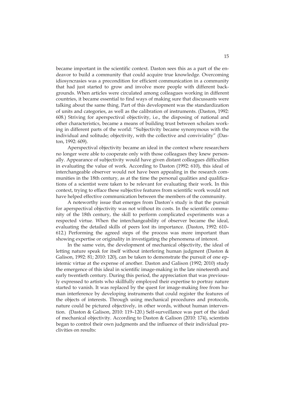became important in the scientific context. Daston sees this as a part of the endeavor to build a community that could acquire true knowledge. Overcoming idiosyncrasies was a precondition for efficient communication in a community that had just started to grow and involve more people with different backgrounds. When articles were circulated among colleagues working in different countries, it became essential to find ways of making sure that discussants were talking about the same thing. Part of this development was the standardization of units and categories, as well as the calibration of instruments. (Daston, 1992: 608.) Striving for aperspectival objectivity, i.e., the disposing of national and other characteristics, became a means of building trust between scholars working in different parts of the world: "Subjectivity became synonymous with the individual and solitude; objectivity, with the collective and conviviality" (Daston, 1992: 609).

Aperspectival objectivity became an ideal in the context where researchers no longer were able to cooperate only with those colleagues they knew personally. Appearance of subjectivity would have given distant colleagues difficulties in evaluating the value of work. According to Daston (1992: 610), this ideal of interchangeable observer would not have been appealing in the research communities in the 18th century, as at the time the personal qualities and qualifications of a scientist were taken to be relevant for evaluating their work. In this context, trying to efface these subjective features from scientific work would not have helped effective communication between the members of the community.

A noteworthy issue that emerges from Daston's study is that the pursuit for aperspectival objectivity was not without its costs. In the scientific community of the 18th century, the skill to perform complicated experiments was a respected virtue. When the interchangeability of observer became the ideal, evaluating the detailed skills of peers lost its importance. (Daston, 1992: 610– 612.) Performing the agreed steps of the process was more important than showing expertise or originality in investigating the phenomena of interest.

In the same vein, the development of mechanical objectivity, the ideal of letting nature speak for itself without interfering human judgment (Daston & Galison, 1992: 81; 2010: 120), can be taken to demonstrate the pursuit of one epistemic virtue at the expense of another. Daston and Galison (1992; 2010) study the emergence of this ideal in scientific image-making in the late nineteenth and early twentieth century. During this period, the appreciation that was previously expressed to artists who skillfully employed their expertise to portray nature started to vanish. It was replaced by the quest for image-making free from human interference by developing instruments that could register the features of the objects of interests. Through using mechanical procedures and protocols, nature could be pictured objectively, in other words, without human intervention. (Daston & Galison, 2010: 119–120.) Self-surveillance was part of the ideal of mechanical objectivity. According to Daston & Galison (2010: 174), scientists began to control their own judgments and the influence of their individual proclivities on results: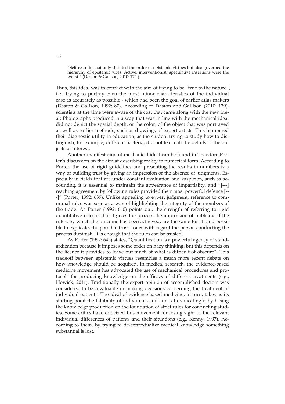"Self-restraint not only dictated the order of epistemic virtues but also governed the hierarchy of epistemic vices. Active, interventionist, speculative insertions were the worst." (Daston & Galison, 2010: 175.)

Thus, this ideal was in conflict with the aim of trying to be "true to the nature", i.e., trying to portray even the most minor characteristics of the individual case as accurately as possible - which had been the goal of earlier atlas makers (Daston & Galison, 1992: 87). According to Daston and Gallison (2010: 179), scientists at the time were aware of the cost that came along with the new ideal: Photographs produced in a way that was in line with the mechanical ideal did not depict the spatial depth, or the color, of the object that was portrayed as well as earlier methods, such as drawings of expert artists. This hampered their diagnostic utility in education, as the student trying to study how to distinguish, for example, different bacteria, did not learn all the details of the objects of interest.

Another manifestation of mechanical ideal can be found in Theodore Porter's discussion on the aim at describing reality in numerical form. According to Porter, the use of rigid guidelines and presenting the results in numbers is a way of building trust by giving an impression of the absence of judgments. Especially in fields that are under constant evaluation and suspicion, such as accounting, it is essential to maintain the appearance of impartiality, and "[---] reaching agreement by following rules provided their most powerful defence [-- -]" (Porter, 1992: 639). Unlike appealing to expert judgment, reference to communal rules was seen as a way of highlighting the integrity of the members of the trade. As Porter (1992: 640) points out, the strength of referring to rigid quantitative rules is that it gives the process the impression of publicity. If the rules, by which the outcome has been achieved, are the same for all and possible to explicate, the possible trust issues with regard the person conducting the process diminish. It is enough that the rules can be trusted.

As Porter (1992: 645) states, "Quantification is a powerful agency of standardization because it imposes some order on hazy thinking, but this depends on the licence it provides to leave out much of what is difficult of obscure". This tradeoff between epistemic virtues resembles a much more recent debate on how knowledge should be acquired. In medical research, the evidence-based medicine movement has advocated the use of mechanical procedures and protocols for producing knowledge on the efficacy of different treatments (e.g., Howick, 2011). Traditionally the expert opinion of accomplished doctors was considered to be invaluable in making decisions concerning the treatment of individual patients. The ideal of evidence-based medicine, in turn, takes as its starting point the fallibility of individuals and aims at eradicating it by basing the knowledge production on the foundation of strict rules for conducting studies. Some critics have criticized this movement for losing sight of the relevant individual differences of patients and their situations (e.g., Kenny, 1997). According to them, by trying to de-contextualize medical knowledge something substantial is lost.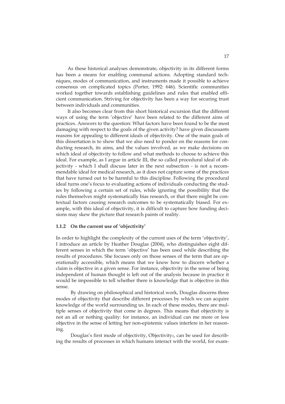As these historical analyses demonstrate, objectivity in its different forms has been a means for enabling communal actions. Adopting standard techniques, modes of communication, and instruments made it possible to achieve consensus on complicated topics (Porter, 1992: 646). Scientific communities worked together towards establishing guidelines and rules that enabled efficient communication. Striving for objectivity has been a way for securing trust between individuals and communities.

It also becomes clear from this short historical excursion that the different ways of using the term 'objective' have been related to the different aims of practices. Answers to the question: What factors have been found to be the most damaging with respect to the goals of the given activity? have given discussants reasons for appealing to different ideals of objectivity. One of the main goals of this dissertation is to show that we also need to ponder on the reasons for conducting research, its aims, and the values involved, as we make decisions on which ideal of objectivity to follow and what methods to choose to achieve this ideal. For example, as I argue in article III, the so called procedural ideal of objectivity - which I shall discuss later in the next subsection - is not a recommendable ideal for medical research, as it does not capture some of the practices that have turned out to be harmful to this discipline. Following the procedural ideal turns one's focus to evaluating actions of individuals conducting the studies by following a certain set of rules, while ignoring the possibility that the rules themselves might systematically bias research, or that there might be contextual factors causing research outcomes to be systematically biased. For example, with this ideal of objectivity, it is difficult to capture how funding decisions may skew the picture that research paints of reality.

#### **1.1.2 On the current use of 'objectivity'**

In order to highlight the complexity of the current uses of the term 'objectivity', I introduce an article by Heather Douglas (2004), who distinguishes eight different senses in which the term 'objective' has been used while describing the results of procedures. She focuses only on those senses of the term that are operationally accessible, which means that we know how to discern whether a claim is objective in a given sense. For instance, objectivity in the sense of being independent of human thought is left out of the analysis because in practice it would be impossible to tell whether there is knowledge that is objective in this sense.

By drawing on philosophical and historical work, Douglas discerns three modes of objectivity that describe different processes by which we can acquire knowledge of the world surrounding us. In each of these modes, there are multiple senses of objectivity that come in degrees. This means that objectivity is not an all or nothing quality: for instance, an individual can me more or less objective in the sense of letting her non-epistemic values interfere in her reasoning.

Douglas's first mode of objectivity, Objectivity<sub>1</sub>, can be used for describing the results of processes in which humans interact with the world, for exam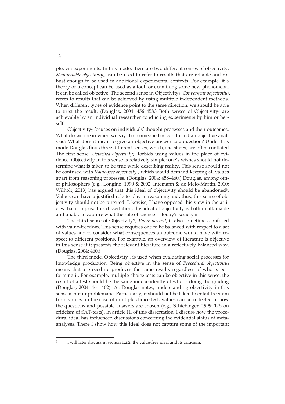ple, via experiments. In this mode, there are two different senses of objectivity. *Manipulable objectivity1,* can be used to refer to results that are reliable and robust enough to be used in additional experimental contexts. For example, if a theory or a concept can be used as a tool for examining some new phenomena, it can be called objective. The second sense in Objectivity1, *Convergent objectivity1*, refers to results that can be achieved by using multiple independent methods. When different types of evidence point to the same direction, we should be able to trust the result. (Douglas, 2004: 456–458.) Both senses of Objectivity<sub>1</sub> are achievable by an individual researcher conducting experiments by him or herself.

Objectivity<sub>2</sub> focuses on individuals' thought processes and their outcomes. What do we mean when we say that someone has conducted an objective analysis? What does it mean to give an objective answer to a question? Under this mode Douglas finds three different senses, which, she states, are often conflated. The first sense, *Detached objectivity2*, forbids using values in the place of evidence. Objectivity in this sense is relatively simple: one's wishes should not determine what is taken to be true while describing reality. This sense should not be confused with *Value-free objectivity<sub>2</sub>*, which would demand keeping all values apart from reasoning processes. (Douglas, 2004: 458–460.) Douglas, among other philosophers (e.g., Longino, 1990 & 2002; Intemann & de Melo-Martin, 2010; Wilholt, 2013) has argued that this ideal of objectivity should be abandoned<sup>3</sup>. Values can have a justified role to play in reasoning and, thus, this sense of objectivity should not be pursued. Likewise, I have opposed this view in the articles that comprise this dissertation; this ideal of objectivity is both unattainable and unable to capture what the role of science in today's society is.

The third sense of Objectivity2, *Value-neutral*, is also sometimes confused with value-freedom. This sense requires one to be balanced with respect to a set of values and to consider what consequences an outcome would have with respect to different positions. For example, an overview of literature is objective in this sense if it presents the relevant literature in a reflectively balanced way. (Douglas, 2004: 460.)

The third mode, Objectivity<sub>3</sub>, is used when evaluating social processes for knowledge production. Being objective in the sense of *Procedural objectivity3* means that a procedure produces the same results regardless of who is performing it. For example, multiple-choice tests can be objective in this sense: the result of a test should be the same independently of who is doing the grading (Douglas, 2004: 461–462). As Douglas notes, understanding objectivity in this sense is not unproblematic. Particularly, it should not be taken to entail freedom from values: in the case of multiple-choice test, values can be reflected in how the questions and possible answers are chosen (e.g., Schiebinger, 1999: 175 on criticism of SAT-tests). In article III of this dissertation, I discuss how the procedural ideal has influenced discussions concerning the evidential status of metaanalyses. There I show how this ideal does not capture some of the important

-

I will later discuss in section 1.2.2. the value-free ideal and its criticism.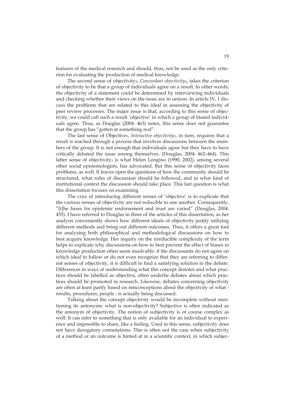features of the medical research and should, thus, not be used as the only criterion for evaluating the production of medical knowledge.

The second sense of objectivity3, *Concordant objectivity3*, takes the criterion of objectivity to be that a group of individuals agree on a result. In other words, the objectivity of a statement could be determined by interviewing individuals and checking whether their views on the issue are in unison. In article IV, I discuss the problems that are related to this ideal in assessing the objectivity of peer review processes. The major issue is that, according to this sense of objectivity, we could call such a result 'objective' in which a group of biased individuals agree. Thus, as Douglas (2004: 463) notes, this sense does not guarantee that the group has "gotten at something real".

The last sense of Objective3, *Interactive objectivity3*, in turn, requires that a result is reached through a process that involves discussions between the members of the group. It is not enough that individuals agree but they have to have critically debated the issue among themselves. (Douglas, 2004: 462–464). This latter sense of objectivity<sub>3</sub> is what Helen Longino  $(1990; 2002)$ , among several other social epistemologists, has advocated. But this sense of objectivity faces problems, as well. It leaves open the questions of how the community should be structured, what rules of discussion should be followed, and in what kind of institutional context the discussion should take place. This last question is what this dissertation focuses on examining.

The crux of introducing different senses of 'objective' is to explicate that the various senses of objectivity are not reducible to one another. Consequently, "[t]he bases for epistemic endorsement and trust are varied" (Douglas, 2004: 455). I have referred to Douglas in three of the articles of this dissertation, as her analysis conveniently shows how different ideals of objectivity justify utilizing different methods and bring out different outcomes. Thus, it offers a great tool for analyzing both philosophical and methodological discussions on how to best acquire knowledge. Her inquiry on the irreducible complexity of the term helps to explicate why discussions on how to best prevent the effect of biases in knowledge production often seem insolvable: if the discussants do not agree on which ideal to follow or do not even recognize that they are referring to different senses of objectivity, it is difficult to find a satisfying solution to the debate. Differences in ways of understanding what this concept denotes and what practices should be labelled as objective, often underlie debates about which practices should be promoted in research. Likewise, debates concerning objectivity are often at least partly based on misconceptions about the objectivity of what results, procedures, people - is actually being discussed.

Talking about the concept objectivity would be incomplete without mentioning its antonyms: what is non-objectivity? Subjective is often indicated as the antonym of objectivity. The notion of subjectivity is of course complex as well: It can refer to something that is only available for an individual to experience and impossible to share, like a feeling. Used in this sense, subjectivity does not have derogatory connotations. This is often not the case when subjectivity of a method or an outcome is hinted at in a scientific context, in which subjec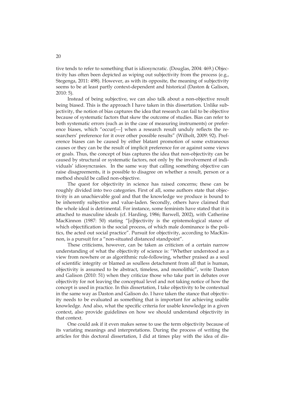tive tends to refer to something that is idiosyncratic. (Douglas, 2004: 469.) Objectivity has often been depicted as wiping out subjectivity from the process (e.g., Stegenga, 2011: 498). However, as with its opposite, the meaning of subjectivity seems to be at least partly context-dependent and historical (Daston & Galison, 2010: 5).

Instead of being subjective, we can also talk about a non-objective result being biased. This is the approach I have taken in this dissertation. Unlike subjectivity, the notion of bias captures the idea that research can fail to be objective because of systematic factors that skew the outcome of studies. Bias can refer to both systematic errors (such as in the case of measuring instruments) or preference biases, which "occur[---] when a research result unduly reflects the researchers' preference for it over other possible results" (Wilholt, 2009: 92). Preference biases can be caused by either blatant promotion of some extraneous causes or they can be the result of implicit preference for or against some views or goals. Thus, the concept of bias captures the idea that non-objectivity can be caused by structural or systematic factors, not only by the involvement of individuals' idiosyncrasies. In the same way that calling something objective can raise disagreements, it is possible to disagree on whether a result, person or a method should be called non-objective.

The quest for objectivity in science has raised concerns; these can be roughly divided into two categories. First of all, some authors state that objectivity is an unachievable goal and that the knowledge we produce is bound to be inherently subjective and value-laden. Secondly, others have claimed that the whole ideal is detrimental. For instance, some feminists have stated that it is attached to masculine ideals (cf. Harding, 1986; Barwell, 2002), with Catherine MacKinnon (1987: 50) stating "[o]bjectivity is the epistemological stance of which objectification is the social process, of which male dominance is the politics, the acted out social practice". Pursuit for objectivity, according to MacKinnon, is a pursuit for a "non-situated distanced standpoint".

These criticisms, however, can be taken as criticism of a certain narrow understanding of what the objectivity of science is: "Whether understood as a view from nowhere or as algorithmic rule-following, whether praised as a soul of scientific integrity or blamed as soulless detachment from all that is human, objectivity is assumed to be abstract, timeless, and monolithic", write Daston and Galison (2010: 51) when they criticize those who take part in debates over objectivity for not leaving the conceptual level and not taking notice of how the concept is used in practice. In this dissertation, I take objectivity to be contextual in the same way as Daston and Galison do. I have taken the stance that objectivity needs to be evaluated as something that is important for achieving usable knowledge. And also, what the specific criteria for usable knowledge in a given context, also provide guidelines on how we should understand objectivity in that context.

One could ask if it even makes sense to use the term objectivity because of its variating meanings and interpretations. During the process of writing the articles for this doctoral dissertation, I did at times play with the idea of dis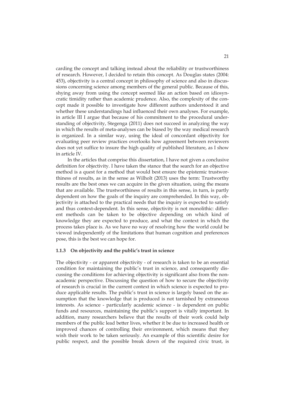carding the concept and talking instead about the reliability or trustworthiness of research. However, I decided to retain this concept. As Douglas states (2004: 453), objectivity is a central concept in philosophy of science and also in discussions concerning science among members of the general public. Because of this, shying away from using the concept seemed like an action based on idiosyncratic timidity rather than academic prudence. Also, the complexity of the concept made it possible to investigate how different authors understood it and whether these understandings had influenced their own analyses. For example, in article III I argue that because of his commitment to the procedural understanding of objectivity, Stegenga (2011) does not succeed in analyzing the way in which the results of meta-analyses can be biased by the way medical research is organized. In a similar way, using the ideal of concordant objectivity for evaluating peer review practices overlooks how agreement between reviewers does not yet suffice to insure the high quality of published literature, as I show in article IV.

In the articles that comprise this dissertation, I have not given a conclusive definition for objectivity. I have taken the stance that the search for an objective method is a quest for a method that would best ensure the epistemic trustworthiness of results, as in the sense as Wilholt (2013) uses the term: Trustworthy results are the best ones we can acquire in the given situation, using the means that are available. The trustworthiness of results in this sense, in turn, is partly dependent on how the goals of the inquiry are comprehended. In this way, objectivity is attached to the practical needs that the inquiry is expected to satisfy and thus context-dependent. In this sense, objectivity is not monolithic: different methods can be taken to be objective depending on which kind of knowledge they are expected to produce, and what the context in which the process takes place is. As we have no way of resolving how the world could be viewed independently of the limitations that human cognition and preferences pose, this is the best we can hope for.

#### **1.1.3 On objectivity and the public's trust in science**

The objectivity - or apparent objectivity - of research is taken to be an essential condition for maintaining the public's trust in science, and consequently discussing the conditions for achieving objectivity is significant also from the nonacademic perspective. Discussing the question of how to secure the objectivity of research is crucial in the current context in which science is expected to produce applicable results. The public's trust in science is largely based on the assumption that the knowledge that is produced is not tarnished by extraneous interests. As science - particularly academic science - is dependent on public funds and resources, maintaining the public's support is vitally important. In addition, many researchers believe that the results of their work could help members of the public lead better lives, whether it be due to increased health or improved chances of controlling their environment, which means that they wish their work to be taken seriously. An example of this scientific desire for public respect, and the possible break down of the required civic trust, is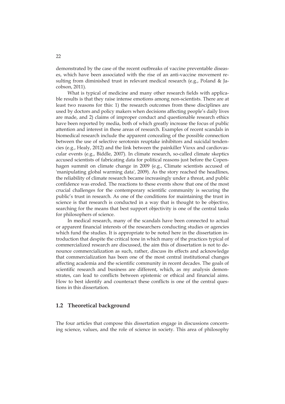demonstrated by the case of the recent outbreaks of vaccine preventable diseases, which have been associated with the rise of an anti-vaccine movement resulting from diminished trust in relevant medical research (e.g., Poland & Jacobson, 2011).

What is typical of medicine and many other research fields with applicable results is that they raise intense emotions among non-scientists. There are at least two reasons for this: 1) the research outcomes from these disciplines are used by doctors and policy makers when decisions affecting people's daily lives are made, and 2) claims of improper conduct and questionable research ethics have been reported by media, both of which greatly increase the focus of public attention and interest in these areas of research. Examples of recent scandals in biomedical research include the apparent concealing of the possible connection between the use of selective serotonin reuptake inhibitors and suicidal tendencies (e.g., Healy, 2012) and the link between the painkiller Vioxx and cardiovascular events (e.g., Biddle, 2007). In climate research, so-called climate skeptics accused scientists of fabricating data for political reasons just before the Copenhagen summit on climate change in 2009 (e.g., Climate scientists accused of 'manipulating global warming data', 2009). As the story reached the headlines, the reliability of climate research became increasingly under a threat, and public confidence was eroded. The reactions to these events show that one of the most crucial challenges for the contemporary scientific community is securing the public's trust in research. As one of the conditions for maintaining the trust in science is that research is conducted in a way that is thought to be objective, searching for the means that best support objectivity is one of the central tasks for philosophers of science.

In medical research, many of the scandals have been connected to actual or apparent financial interests of the researchers conducting studies or agencies which fund the studies. It is appropriate to be noted here in the dissertation introduction that despite the critical tone in which many of the practices typical of commercialized research are discussed, the aim this of dissertation is not to denounce commercialization as such, rather, discuss its effects and acknowledge that commercialization has been one of the most central institutional changes affecting academia and the scientific community in recent decades. The goals of scientific research and business are different, which, as my analysis demonstrates, can lead to conflicts between epistemic or ethical and financial aims. How to best identify and counteract these conflicts is one of the central questions in this dissertation.

#### **1.2 Theoretical background**

The four articles that compose this dissertation engage in discussions concerning science, values, and the role of science in society. This area of philosophy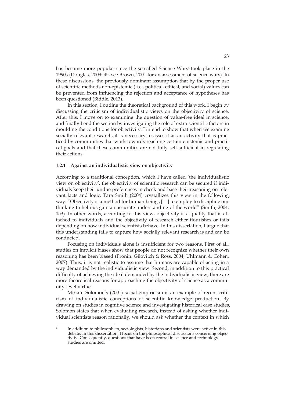has become more popular since the so-called Science Wars<sup>4</sup> took place in the 1990s (Douglas, 2009: 45, see Brown, 2001 for an assessment of science wars). In these discussions, the previously dominant assumption that by the proper use of scientific methods non-epistemic ( i.e., political, ethical, and social) values can be prevented from influencing the rejection and acceptance of hypotheses has been questioned (Biddle, 2013).

In this section, I outline the theoretical background of this work. I begin by discussing the criticism of individualistic views on the objectivity of science. After this, I move on to examining the question of value-free ideal in science, and finally I end the section by investigating the role of extra-scientific factors in moulding the conditions for objectivity. I intend to show that when we examine socially relevant research, it is necessary to asses it as an activity that is practiced by communities that work towards reaching certain epistemic and practical goals and that these communities are not fully self-sufficient in regulating their actions.

#### **1.2.1 Against an individualistic view on objectivity**

According to a traditional conception, which I have called 'the individualistic view on objectivity', the objectivity of scientific research can be secured if individuals keep their undue preferences in check and base their reasoning on relevant facts and logic. Tara Smith (2004) crystallizes this view in the following way: "Objectivity is a method for human beings [---] to employ to discipline our thinking to help us gain an accurate understanding of the world" (Smith, 2004: 153). In other words, according to this view, objectivity is a quality that is attached to individuals and the objectivity of research either flourishes or fails depending on how individual scientists behave. In this dissertation, I argue that this understanding fails to capture how socially relevant research is and can be conducted.

Focusing on individuals alone is insufficient for two reasons. First of all, studies on implicit biases show that people do not recognize whether their own reasoning has been biased (Pronin, Gilovitch & Ross, 2004; Uhlmann & Cohen, 2007). Thus, it is not realistic to assume that humans are capable of acting in a way demanded by the individualistic view. Second, in addition to this practical difficulty of achieving the ideal demanded by the individualistic view, there are more theoretical reasons for approaching the objectivity of science as a community-level virtue.

Miriam Solomon's (2001) social empiricism is an example of recent criticism of individualistic conceptions of scientific knowledge production. By drawing on studies in cognitive science and investigating historical case studies, Solomon states that when evaluating research, instead of asking whether individual scientists reason rationally, we should ask whether the context in which

-

In addition to philosophers, sociologists, historians and scientists were active in this debate. In this dissertation, I focus on the philosophical discussions concerning objectivity. Consequently, questions that have been central in science and technology studies are omitted.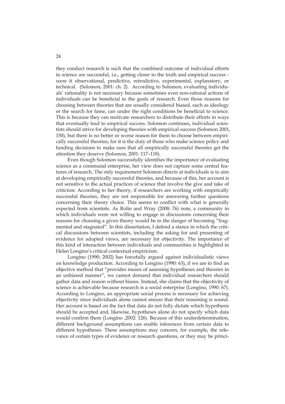they conduct research is such that the combined outcome of individual efforts in science are successful, i.e., getting closer to the truth and empirical success were it observational, predictive, retrodictive, experimental, explanatory, or technical. (Solomon, 2001: ch. 2). According to Solomon, evaluating individuals' rationality is not necessary because sometimes even non-rational actions of individuals can be beneficial to the goals of research. Even those reasons for choosing between theories that are usually considered biased, such as ideology or the search for fame, can under the right conditions be beneficial to science. This is because they can motivate researchers to distribute their efforts in ways that eventually lead to empirical success. Solomon continues, individual scientists should strive for developing theories with empirical success (Solomon 2001, 150), but there is no better or worse reason for them to choose between empirically successful theories, for it is the duty of those who make science policy and funding decisions to make sure that all empirically successful theories get the attention they deserve (Solomon, 2001: 117–118).

Even though Solomon successfully identifies the importance of evaluating science as a communal enterprise, her view does not capture some central features of research. The only requirement Solomon directs at individuals is to aim at developing empirically successful theories, and because of this, her account is not sensitive to the actual practices of science that involve the give and take of criticism: According to her theory, if researchers are working with empirically successful theories, they are not responsible for answering further questions concerning their theory choice. This seems to conflict with what is generally expected from scientists. As Rolin and Wray (2008: 76) note, a community in which individuals were not willing to engage in discussions concerning their reasons for choosing a given theory would be in the danger of becoming "fragmented and stagnated". In this dissertation, I defend a stance in which the critical discussions between scientists, including the asking for and presenting of evidence for adopted views, are necessary for objectivity. The importance of this kind of interaction between individuals and communities is highlighted in Helen Longino's critical contextual empiricism.

Longino (1990; 2002) has forcefully argued against individualistic views on knowledge production. According to Longino (1990: 63), if we are to find an objective method that "provides means of assessing hypotheses and theories in an unbiased manner", we cannot demand that individual researchers should gather data and reason without biases. Instead, she claims that the objectivity of science is achievable because research is a social enterprise (Longino, 1990: 67). According to Longino, an appropriate social process is necessary for achieving objectivity since individuals alone cannot ensure that their reasoning is sound. Her account is based on the fact that data do not fully dictate which hypothesis should be accepted and, likewise, hypotheses alone do not specify which data would confirm them (Longino ,2002: 126). Because of this underdetermination, different background assumptions can enable inferences from certain data to different hypotheses. These assumptions may concern, for example, the relevance of certain types of evidence or research questions, or they may be princi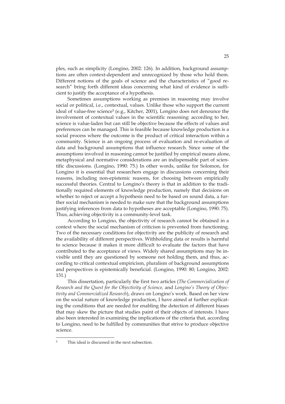ples, such as simplicity (Longino, 2002: 126). In addition, background assumptions are often context-dependent and unrecognized by those who hold them. Different notions of the goals of science and the characteristics of "good research" bring forth different ideas concerning what kind of evidence is sufficient to justify the acceptance of a hypothesis.

Sometimes assumptions working as premises in reasoning may involve social or political, i.e., contextual, values. Unlike those who support the current ideal of value-free science<sup>5</sup> (e.g., Kitcher, 2001), Longino does not denounce the involvement of contextual values in the scientific reasoning: according to her, science is value-laden but can still be objective because the effects of values and preferences can be managed. This is feasible because knowledge production is a social process where the outcome is the product of critical interaction within a community. Science is an ongoing process of evaluation and re-evaluation of data and background assumptions that influence research. Since some of the assumptions involved in reasoning cannot be justified by empirical means alone, metaphysical and normative considerations are an indispensable part of scientific discussions. (Longino, 1990: 75.) In other words, unlike for Solomon, for Longino it is essential that researchers engage in discussions concerning their reasons, including non-epistemic reasons, for choosing between empirically successful theories. Central to Longino's theory is that in addition to the traditionally required elements of knowledge production, namely that decisions on whether to reject or accept a hypothesis need to be based on sound data, a further social mechanism is needed to make sure that the background assumptions justifying inferences from data to hypotheses are acceptable (Longino, 1990: 75). Thus, achieving objectivity is a community-level task.

According to Longino, the objectivity of research cannot be obtained in a context where the social mechanism of criticism is prevented from functioning. Two of the necessary conditions for objectivity are the publicity of research and the availability of different perspectives. Withholding data or results is harmful to science because it makes it more difficult to evaluate the factors that have contributed to the acceptance of views. Widely shared assumptions may be invisible until they are questioned by someone not holding them, and thus, according to critical contextual empiricism, pluralism of background assumptions and perspectives is epistemically beneficial. (Longino, 1990: 80; Longino, 2002: 131.)

This dissertation, particularly the first two articles (*The Commercialization of Research and the Quest for the Objectivity of Science,* and *Longino's Theory of Objectivity and Commercialized Research*), draws on Longino's work. Based on her view on the social nature of knowledge production, I have aimed at further explicating the conditions that are needed for enabling the detection of different biases that may skew the picture that studies paint of their objects of interests. I have also been interested in examining the implications of the criteria that, according to Longino, need to be fulfilled by communities that strive to produce objective science.

-

This ideal is discussed in the next subsection.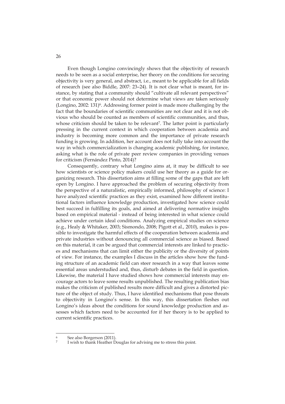Even though Longino convincingly shows that the objectivity of research needs to be seen as a social enterprise, her theory on the conditions for securing objectivity is very general, and abstract, i.e., meant to be applicable for all fields of research (see also Biddle, 2007: 23–24). It is not clear what is meant, for instance, by stating that a community should "cultivate all relevant perspectives" or that economic power should not determine what views are taken seriously (Longino, 2002: 131)<sup>6</sup>. Addressing former point is made more challenging by the fact that the boundaries of scientific communities are not clear and it is not obvious who should be counted as members of scientific communities, and thus, whose criticism should be taken to be relevant<sup>7</sup>. The latter point is particularly pressing in the current context in which cooperation between academia and industry is becoming more common and the importance of private research funding is growing. In addition, her account does not fully take into account the way in which commercialization is changing academic publishing, for instance, asking what is the role of private peer review companies in providing venues for criticism (Fernández Pinto, 2014)?

Consequently, contrary what Longino aims at, it may be difficult to see how scientists or science policy makers could use her theory as a guide for organizing research. This dissertation aims at filling some of the gaps that are left open by Longino. I have approached the problem of securing objectivity from the perspective of a naturalistic, empirically informed, philosophy of science: I have analyzed scientific practices as they exist, examined how different institutional factors influence knowledge production, investigated how science could best succeed in fulfilling its goals, and aimed at delivering normative insights based on empirical material - instead of being interested in what science could achieve under certain ideal conditions. Analyzing empirical studies on science (e.g., Healy & Whitaker, 2003; Sismondo, 2008; Pigott et al., 2010), makes is possible to investigate the harmful effects of the cooperation between academia and private industries without denouncing all commercial science as biased. Based on this material, it can be argued that commercial interests are linked to practices and mechanisms that can limit either the publicity or the diversity of points of view. For instance, the examples I discuss in the articles show how the funding structure of an academic field can steer research in a way that leaves some essential areas understudied and, thus, disturb debates in the field in question. Likewise, the material I have studied shows how commercial interests may encourage actors to leave some results unpublished. The resulting publication bias makes the criticism of published results more difficult and gives a distorted picture of the object of study. Thus, I have identified mechanisms that pose threats to objectivity in Longino's sense. In this way, this dissertation fleshes out Longino's ideas about the conditions for sound knowledge production and assesses which factors need to be accounted for if her theory is to be applied to current scientific practices.

-

26

See also Borgerson (2011).

I wish to thank Heather Douglas for advising me to stress this point.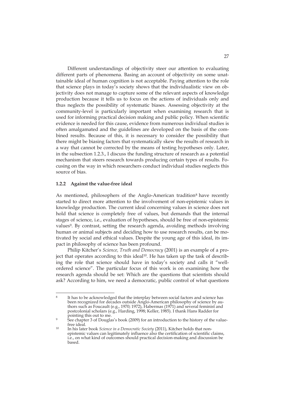Different understandings of objectivity steer our attention to evaluating different parts of phenomena. Basing an account of objectivity on some unattainable ideal of human cognition is not acceptable. Paying attention to the role that science plays in today's society shows that the individualistic view on objectivity does not manage to capture some of the relevant aspects of knowledge production because it tells us to focus on the actions of individuals only and thus neglects the possibility of systematic biases. Assessing objectivity at the community-level is particularly important when examining research that is used for informing practical decision making and public policy. When scientific evidence is needed for this cause, evidence from numerous individual studies is often amalgamated and the guidelines are developed on the basis of the combined results. Because of this, it is necessary to consider the possibility that there might be biasing factors that systematically skew the results of research in a way that cannot be corrected by the means of testing hypotheses only. Later, in the subsection 1.2.3., I discuss the funding structure of research as a potential mechanism that steers research towards producing certain types of results. Focusing on the way in which researchers conduct individual studies neglects this source of bias.

#### **1.2.2 Against the value-free ideal**

-

As mentioned, philosophers of the Anglo-American tradition<sup>8</sup> have recently started to direct more attention to the involvement of non-epistemic values in knowledge production. The current ideal concerning values in science does not hold that science is completely free of values, but demands that the internal stages of science, i.e., evaluation of hypotheses, should be free of non-epistemic values9. By contrast, setting the research agenda, avoiding methods involving human or animal subjects and deciding how to use research results, can be motivated by social and ethical values. Despite the young age of this ideal, its impact in philosophy of science has been profound.

Philip Kitcher's *Science, Truth and Democracy* (2001) is an example of a project that operates according to this ideal10. He has taken up the task of describing the role that science should have in today's society and calls it "wellordered science". The particular focus of this work is on examining how the research agenda should be set: Which are the questions that scientists should ask? According to him, we need a democratic, public control of what questions

<sup>8</sup> It has to be acknowledged that the interplay between social factors and science has been recognized for decades outside Anglo-American philosophy of science by authors such as Foucault (e.g., 1970; 1972), Habermas (1971) and several feminist and postcolonial scholars (e.g., Harding, 1998; Keller, 1985). I thank Hans Radder for

pointing this out to me.<br>See chapter 3 of Douglas's book (2009) for an introduction to the history of the value-<br>free ideal.

<sup>&</sup>lt;sup>10</sup> In his later book *Science in a Democratic Society (2011)*, Kitcher holds that nonepistemic values can legitimately influence also the certification of scientific claims, i.e., on what kind of outcomes should practical decision-making and discussion be based.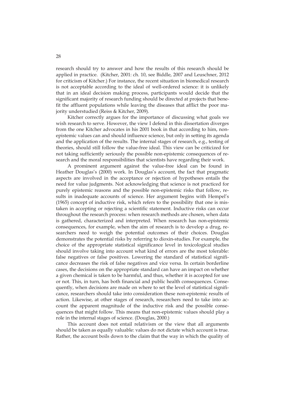research should try to answer and how the results of this research should be applied in practice. (Kitcher, 2001: ch. 10, see Biddle, 2007 and Leuschner, 2012 for criticism of Kitcher.) For instance, the recent situation in biomedical research is not acceptable according to the ideal of well-ordered science: it is unlikely that in an ideal decision making process, participants would decide that the significant majority of research funding should be directed at projects that benefit the affluent populations while leaving the diseases that afflict the poor majority understudied (Reiss & Kitcher, 2009).

Kitcher correctly argues for the importance of discussing what goals we wish research to serve. However, the view I defend in this dissertation diverges from the one Kitcher advocates in his 2001 book in that according to him, nonepistemic values can and should influence science, but only in setting its agenda and the application of the results. The internal stages of research, e.g., testing of theories, should still follow the value-free ideal. This view can be criticized for not taking sufficiently seriously the possible non-epistemic consequences of research and the moral responsibilities that scientists have regarding their work.

A prominent argument against the value-free ideal can be found in Heather Douglas's (2000) work. In Douglas's account, the fact that pragmatic aspects are involved in the acceptance or rejection of hypotheses entails the need for value judgments. Not acknowledging that science is not practiced for purely epistemic reasons and the possible non-epistemic risks that follow, results in inadequate accounts of science. Her argument begins with Hempel's (1965) concept of inductive risk, which refers to the possibility that one is mistaken in accepting or rejecting a scientific statement. Inductive risks can occur throughout the research process: when research methods are chosen, when data is gathered, characterized and interpreted. When research has non-epistemic consequences, for example, when the aim of research is to develop a drug, researchers need to weigh the potential outcomes of their choices. Douglas demonstrates the potential risks by referring to dioxin-studies. For example, the choice of the appropriate statistical significance level in toxicological studies should involve taking into account what kind of errors are the most tolerable: false negatives or false positives. Lowering the standard of statistical significance decreases the risk of false negatives and vice versa. In certain borderline cases, the decisions on the appropriate standard can have an impact on whether a given chemical is taken to be harmful, and thus, whether it is accepted for use or not. This, in turn, has both financial and public health consequences. Consequently, when decisions are made on where to set the level of statistical significance, researchers should take into consideration these non-epistemic results of action. Likewise, at other stages of research, researchers need to take into account the apparent magnitude of the inductive risk and the possible consequences that might follow. This means that non-epistemic values should play a role in the internal stages of science. (Douglas, 2000.)

This account does not entail relativism or the view that all arguments should be taken as equally valuable: values do not dictate which account is true. Rather, the account boils down to the claim that the way in which the quality of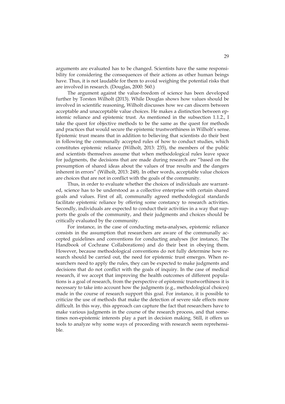arguments are evaluated has to be changed. Scientists have the same responsibility for considering the consequences of their actions as other human beings have. Thus, it is not laudable for them to avoid weighing the potential risks that are involved in research. (Douglas, 2000: 560.)

The argument against the value-freedom of science has been developed further by Torsten Wilholt (2013). While Douglas shows how values should be involved in scientific reasoning, Wilholt discusses how we can discern between acceptable and unacceptable value choices. He makes a distinction between epistemic reliance and epistemic trust. As mentioned in the subsection 1.1.2., I take the quest for objective methods to be the same as the quest for methods and practices that would secure the epistemic trustworthiness in Wilholt's sense. Epistemic trust means that in addition to believing that scientists do their best in following the communally accepted rules of how to conduct studies, which constitutes epistemic reliance (Wilholt, 2013: 235), the members of the public and scientists themselves assume that when methodological rules leave space for judgments, the decisions that are made during research are "based on the presumption of shared ideas about the values of true results and the dangers inherent in errors" (Wilholt, 2013: 248). In other words, acceptable value choices are choices that are not in conflict with the goals of the community.

Thus, in order to evaluate whether the choices of individuals are warranted, science has to be understood as a collective enterprise with certain shared goals and values. First of all, communally agreed methodological standards facilitate epistemic reliance by offering some constancy to research activities. Secondly, individuals are expected to conduct their activities in a way that supports the goals of the community, and their judgments and choices should be critically evaluated by the community.

For instance, in the case of conducting meta-analyses, epistemic reliance consists in the assumption that researchers are aware of the communally accepted guidelines and conventions for conducting analyses (for instance, The Handbook of Cochrane Collaborations) and do their best in obeying them. However, because methodological conventions do not fully determine how research should be carried out, the need for epistemic trust emerges. When researchers need to apply the rules, they can be expected to make judgments and decisions that do not conflict with the goals of inquiry. In the case of medical research, if we accept that improving the health outcomes of different populations is a goal of research, from the perspective of epistemic trustworthiness it is necessary to take into account how the judgments (e.g., methodological choices) made in the course of research support this goal. For instance, it is possible to criticize the use of methods that make the detection of severe side effects more difficult. In this way, this approach can capture the fact that researchers have to make various judgments in the course of the research process, and that sometimes non-epistemic interests play a part in decision making. Still, it offers us tools to analyze why some ways of proceeding with research seem reprehensible.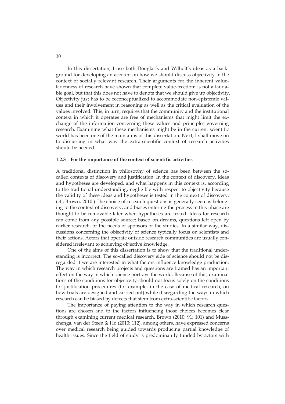In this dissertation, I use both Douglas's and Wilholt's ideas as a background for developing an account on how we should discuss objectivity in the context of socially relevant research. Their arguments for the inherent valueladenness of research have shown that complete value-freedom is not a laudable goal, but that this does not have to denote that we should give up objectivity. Objectivity just has to be reconceptualized to accommodate non-epistemic values and their involvement in reasoning as well as the critical evaluation of the values involved. This, in turn, requires that the community and the institutional context in which it operates are free of mechanisms that might limit the exchange of the information concerning these values and principles governing research. Examining what these mechanisms might be in the current scientific world has been one of the main aims of this dissertation. Next, I shall move on to discussing in what way the extra-scientific context of research activities should be heeded.

#### **1.2.3 For the importance of the context of scientific activities**

A traditional distinction in philosophy of science has been between the socalled contexts of discovery and justification. In the context of discovery, ideas and hypotheses are developed, and what happens in this context is, according to the traditional understanding, negligible with respect to objectivity because the validity of these ideas and hypotheses is tested in the context of discovery. (cf., Brown, 2010.) The choice of research questions is generally seen as belonging to the context of discovery, and biases entering the process in this phase are thought to be removable later when hypotheses are tested. Ideas for research can come from any possible source: based on dreams, questions left open by earlier research, or the needs of sponsors of the studies. In a similar way, discussions concerning the objectivity of science typically focus on scientists and their actions. Actors that operate outside research communities are usually considered irrelevant to achieving objective knowledge.

One of the aims of this dissertation is to show that the traditional understanding is incorrect. The so-called discovery side of science should not be disregarded if we are interested in what factors influence knowledge production. The way in which research projects and questions are framed has an important effect on the way in which science portrays the world. Because of this, examinations of the conditions for objectivity should not focus solely on the conditions for justification procedures (for example, in the case of medical research, on how trials are designed and carried out) while disregarding the ways in which research can be biased by defects that stem from extra-scientific factors.

The importance of paying attention to the way in which research questions are chosen and to the factors influencing those choices becomes clear through examining current medical research. Brown (2010: 91; 101) and Musschenga, van der Steen & Ho (2010: 112), among others, have expressed concerns over medical research being guided towards producing partial knowledge of health issues. Since the field of study is predominantly funded by actors with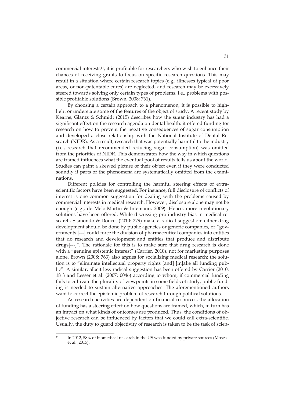commercial interests11, it is profitable for researchers who wish to enhance their chances of receiving grants to focus on specific research questions. This may result in a situation where certain research topics (e.g., illnesses typical of poor areas, or non-patentable cures) are neglected, and research may be excessively steered towards solving only certain types of problems, i.e., problems with possible profitable solutions (Brown, 2008: 761).

By choosing a certain approach to a phenomenon, it is possible to highlight or understate some of the features of the object of study. A recent study by Kearns, Glantz & Schmidt (2015) describes how the sugar industry has had a significant effect on the research agenda on dental health: it offered funding for research on how to prevent the negative consequences of sugar consumption and developed a close relationship with the National Institute of Dental Research (NIDR). As a result, research that was potentially harmful to the industry (i.e., research that recommended reducing sugar consumption) was omitted from the priorities of NIDR. This demonstrates how the way in which questions are framed influences what the eventual pool of results tells us about the world. Studies can paint a skewed picture of their object even if they were conducted soundly if parts of the phenomena are systematically omitted from the examinations.

Different policies for controlling the harmful steering effects of extrascientific factors have been suggested. For instance, full disclosure of conflicts of interest is one common suggestion for dealing with the problems caused by commercial interests in medical research. However, disclosure alone may not be enough (e.g., de Melo-Martín & Intemann, 2009). Hence, more revolutionary solutions have been offered. While discussing pro-industry-bias in medical research, Sismondo & Doucet (2010: 279) make a radical suggestion: either drug development should be done by public agencies or generic companies, or "governments [---] could force the division of pharmaceutical companies into entities that do research and development and entities that produce and distribute drugs[---]". The rationale for this is to make sure that drug research is done with a "genuine epistemic interest" (Carrier, 2010), not for marketing purposes alone. Brown (2008: 763) also argues for socializing medical research: the solution is to "eliminate intellectual property rights [and] [m]ake all funding public". A similar, albeit less radical suggestion has been offered by Carrier (2010: 181) and Lesser et al. (2007: 0046) according to whom, if commercial funding fails to cultivate the plurality of viewpoints in some fields of study, public funding is needed to sustain alternative approaches. The aforementioned authors want to correct the epistemic problem of research through political solutions.

As research activities are dependent on financial resources, the allocation of funding has a steering effect on how questions are framed, which, in turn has an impact on what kinds of outcomes are produced. Thus, the conditions of objective research can be influenced by factors that we could call extra-scientific. Usually, the duty to guard objectivity of research is taken to be the task of scien-

-

<sup>11</sup> In 2012, 58% of biomedical research in the US was funded by private sources (Moses et al. ,2015).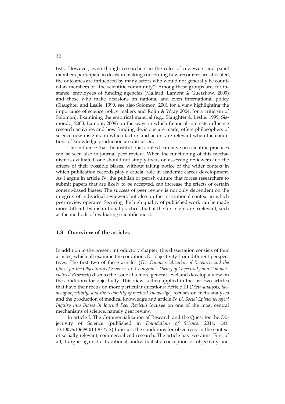tists. However, even though researchers in the roles of reviewers and panel members participate in decision making concerning how resources are allocated, the outcomes are influenced by many actors who would not generally be counted as members of "the scientific community". Among these groups are, for instance, employees of funding agencies (Mallard, Lamont & Guetzkow, 2009) and those who make decisions on national and even international policy (Slaughter and Leslie, 1999, see also Solomon, 2001 for a view highlighting the importance of science policy makers and Rolin & Wray 2004, for a criticism of Solomon). Examining the empirical material (e.g., Slaughter & Leslie, 1999; Sismondo, 2008; Lamont, 2009) on the ways in which financial interests influence research activities and how funding decisions are made, offers philosophers of science new insights on which factors and actors are relevant when the conditions of knowledge production are discussed.

The influence that the institutional context can have on scientific practices can be seen also in journal peer review. When the functioning of this mechanism is evaluated, one should not simply focus on assessing reviewers and the effects of their possible biases, without taking notice of the wider context in which publication records play a crucial role in academic career development. As I argue in article IV, the publish or perish culture that forces researchers to submit papers that are likely to be accepted, can increase the effects of certain content-based biases: The success of peer review is not only dependent on the integrity of individual reviewers but also on the institutional context in which peer review operates. Securing the high quality of published work can be made more difficult by institutional practices that at the first sight are irrelevant, such as the methods of evaluating scientific merit.

#### **1.3 Overview of the articles**

In addition to the present introductory chapter, this dissertation consists of four articles, which all examine the conditions for objectivity from different perspectives. The first two of these articles (*The Commercialization of Research and the Quest for the Objectivity of Science,* and *Longino's Theory of Objectivity and Commercialized Research*) discuss the issue at a more general level and develop a view on the conditions for objectivity. This view is then applied in the last two articles that have their focus on more particular questions: Article III (*Meta-analysis, ideals of objectivity, and the reliability of medical knowledge*) focuses on meta-analyses and the production of medical knowledge and article IV (*A Social Epistemological Inquiry into Biases in Journal Peer Review*) focuses on one of the most central mechanisms of science, namely peer review.

In article I, The Commercialization of Research and the Quest for the Objectivity of Science (published in *Foundations of Science,* 2014, DOI 10.1007/s10699-014-9377-8) I discuss the conditions for objectivity in the context of socially relevant, commercialized research. The article has two aims. First of all, I argue against a traditional, individualistic conception of objectivity and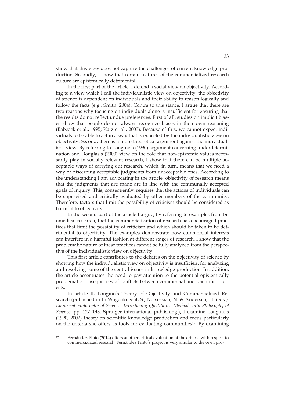show that this view does not capture the challenges of current knowledge production. Secondly, I show that certain features of the commercialized research culture are epistemically detrimental.

In the first part of the article, I defend a social view on objectivity. According to a view which I call the individualistic view on objectivity, the objectivity of science is dependent on individuals and their ability to reason logically and follow the facts (e.g., Smith, 2004). Contra to this stance, I argue that there are two reasons why focusing on individuals alone is insufficient for ensuring that the results do not reflect undue preferences. First of all, studies on implicit biases show that people do not always recognize biases in their own reasoning (Babcock et al., 1995; Katz et al., 2003). Because of this, we cannot expect individuals to be able to act in a way that is expected by the individualistic view on objectivity. Second, there is a more theoretical argument against the individualistic view. By referring to Longino's (1990) argument concerning underdetermination and Douglas's (2000) view on the role that non-epistemic values necessarily play in socially relevant research, I show that there can be multiple acceptable ways of carrying out research, which, in turn, means that we need a way of discerning acceptable judgments from unacceptable ones. According to the understanding I am advocating in the article, objectivity of research means that the judgments that are made are in line with the communally accepted goals of inquiry. This, consequently, requires that the actions of individuals can be supervised and critically evaluated by other members of the community. Therefore, factors that limit the possibility of criticism should be considered as harmful to objectivity.

In the second part of the article I argue, by referring to examples from biomedical research, that the commercialization of research has encouraged practices that limit the possibility of criticism and which should be taken to be detrimental to objectivity. The examples demonstrate how commercial interests can interfere in a harmful fashion at different stages of research. I show that the problematic nature of these practices cannot be fully analyzed from the perspective of the individualistic view on objectivity.

This first article contributes to the debates on the objectivity of science by showing how the individualistic view on objectivity is insufficient for analyzing and resolving some of the central issues in knowledge production. In addition, the article accentuates the need to pay attention to the potential epistemically problematic consequences of conflicts between commercial and scientific interests.

In article II, Longino's Theory of Objectivity and Commercialized Research (published in In Wagenknecht, S., Nersessian, N. & Andersen, H. (eds*.): Empirical Philosophy of Science. Introducing Qualitative Methods into Philosophy of Science.* pp. 127–143. Springer international publishing.), I examine Longino's (1990; 2002) theory on scientific knowledge production and focus particularly on the criteria she offers as tools for evaluating communities12. By examining

 $12$ 12 Fernández Pinto (2014) offers another critical evaluation of the criteria with respect to commercialized research. Fernández Pinto's project is very similar to the one I pro-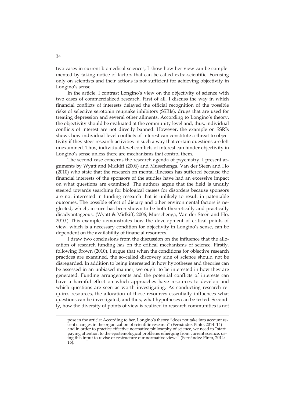two cases in current biomedical sciences, I show how her view can be complemented by taking notice of factors that can be called extra-scientific. Focusing only on scientists and their actions is not sufficient for achieving objectivity in Longino's sense.

In the article, I contrast Longino's view on the objectivity of science with two cases of commercialized research. First of all, I discuss the way in which financial conflicts of interests delayed the official recognition of the possible risks of selective serotonin reuptake inhibitors (SSRIs), drugs that are used for treating depression and several other ailments. According to Longino's theory, the objectivity should be evaluated at the community level and, thus, individual conflicts of interest are not directly banned. However, the example on SSRIs shows how individual-level conflicts of interest can constitute a threat to objectivity if they steer research activities in such a way that certain questions are left unexamined. Thus, individual-level conflicts of interest can hinder objectivity in Longino's sense unless there are mechanisms that control them.

The second case concerns the research agenda of psychiatry. I present arguments by Wyatt and Midkiff (2006) and Musschenga, Van der Steen and Ho (2010) who state that the research on mental illnesses has suffered because the financial interests of the sponsors of the studies have had an excessive impact on what questions are examined. The authors argue that the field is unduly steered towards searching for biological causes for disorders because sponsors are not interested in funding research that is unlikely to result in patentable outcomes. The possible effect of dietary and other environmental factors is neglected, which, in turn has been shown to be both theoretically and practically disadvantageous. (Wyatt & Midkiff, 2006; Musschenga, Van der Steen and Ho, 2010.) This example demonstrates how the development of critical points of view, which is a necessary condition for objectivity in Longino's sense, can be dependent on the availability of financial resources.

I draw two conclusions from the discussion on the influence that the allocation of research funding has on the critical mechanisms of science. Firstly, following Brown (2010), I argue that when the conditions for objective research practices are examined, the so-called discovery side of science should not be disregarded. In addition to being interested in how hypotheses and theories can be assessed in an unbiased manner, we ought to be interested in how they are generated. Funding arrangements and the potential conflicts of interests can have a harmful effect on which approaches have resources to develop and which questions are seen as worth investigating. As conducting research requires resources, the allocation of those resources essentially influences what questions can be investigated, and thus, what hypotheses can be tested. Secondly, how the diversity of points of view is realized in research communities is not

-

pose in the article: According to her, Longino's theory "does not take into account recent changes in the organization of scientific research" (Fernández Pinto, 2014: 14) and in order to practice effective normative philosophy of science, we need to "start paying attention to the epistemological problems emerging from current science, using this input to revise or restructure our normative views" (Fernández Pinto, 2014: 16).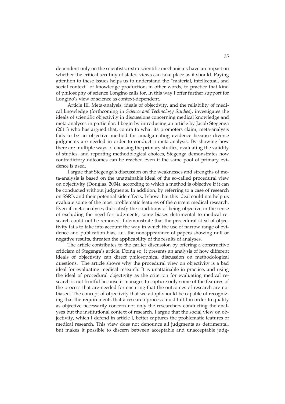dependent only on the scientists: extra-scientific mechanisms have an impact on whether the critical scrutiny of stated views can take place as it should. Paying attention to these issues helps us to understand the "material, intellectual, and social context" of knowledge production, in other words, to practice that kind of philosophy of science Longino calls for. In this way I offer further support for Longino's view of science as context-dependent.

Article III, Meta-analysis, ideals of objectivity, and the reliability of medical knowledge (forthcoming in *Science and Technology Studies*), investigates the ideals of scientific objectivity in discussions concerning medical knowledge and meta-analyses in particular. I begin by introducing an article by Jacob Stegenga (2011) who has argued that, contra to what its promoters claim, meta-analysis fails to be an objective method for amalgamating evidence because diverse judgments are needed in order to conduct a meta-analysis. By showing how there are multiple ways of choosing the primary studies, evaluating the validity of studies, and reporting methodological choices, Stegenga demonstrates how contradictory outcomes can be reached even if the same pool of primary evidence is used.

I argue that Stegenga's discussion on the weaknesses and strengths of meta-analysis is based on the unattainable ideal of the so-called procedural view on objectivity (Douglas, 2004), according to which a method is objective if it can be conducted without judgments. In addition, by referring to a case of research on SSRIs and their potential side-effects, I show that this ideal could not help us evaluate some of the most problematic features of the current medical research. Even if meta-analyses did satisfy the conditions of being objective in the sense of excluding the need for judgments, some biases detrimental to medical research could not be removed. I demonstrate that the procedural ideal of objectivity fails to take into account the way in which the use of narrow range of evidence and publication bias, i.e., the nonappearance of papers showing null or negative results, threaten the applicability of the results of analyses.

The article contributes to the earlier discussion by offering a constructive criticism of Stegenga's article. Doing so, it presents an analysis of how different ideals of objectivity can direct philosophical discussion on methodological questions. The article shows why the procedural view on objectivity is a bad ideal for evaluating medical research: It is unattainable in practice, and using the ideal of procedural objectivity as the criterion for evaluating medical research is not fruitful because it manages to capture only some of the features of the process that are needed for ensuring that the outcomes of research are not biased. The concept of objectivity that we adopt should be capable of recognizing that the requirements that a research process must fulfil in order to qualify as objective necessarily concern not only the researchers conducting the analyses but the institutional context of research. I argue that the social view on objectivity, which I defend in article I, better captures the problematic features of medical research. This view does not denounce all judgments as detrimental, but makes it possible to discern between acceptable and unacceptable judg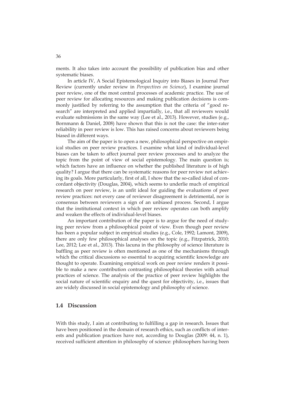ments. It also takes into account the possibility of publication bias and other systematic biases.

In article IV, A Social Epistemological Inquiry into Biases in Journal Peer Review (currently under review in *Perspectives on Science*), I examine journal peer review, one of the most central processes of academic practice. The use of peer review for allocating resources and making publication decisions is commonly justified by referring to the assumption that the criteria of "good research" are interpreted and applied impartially, i.e., that all reviewers would evaluate submissions in the same way (Lee et al., 2013). However, studies (e.g., Bornmann & Daniel, 2008) have shown that this is not the case: the inter-rater reliability in peer review is low. This has raised concerns about reviewers being biased in different ways.

The aim of the paper is to open a new, philosophical perspective on empirical studies on peer review practices. I examine what kind of individual-level biases can be taken to affect journal peer review processes and to analyze the topic from the point of view of social epistemology. The main question is; which factors have an influence on whether the published literature is of high quality? I argue that there can be systematic reasons for peer review not achieving its goals. More particularly, first of all, I show that the so-called ideal of concordant objectivity (Douglas, 2004), which seems to underlie much of empirical research on peer review, is an unfit ideal for guiding the evaluations of peer review practices: not every case of reviewer disagreement is detrimental, nor is consensus between reviewers a sign of an unbiased process. Second, I argue that the institutional context in which peer review operates can both amplify and weaken the effects of individual-level biases.

An important contribution of the paper is to argue for the need of studying peer review from a philosophical point of view. Even though peer review has been a popular subject in empirical studies (e.g., Cole, 1992; Lamont, 2009), there are only few philosophical analyses on the topic (e.g., Fitzpatrick, 2010; Lee, 2012; Lee et al., 2013). This lacuna in the philosophy of science literature is baffling as peer review is often mentioned as one of the mechanisms through which the critical discussions so essential to acquiring scientific knowledge are thought to operate. Examining empirical work on peer review renders it possible to make a new contribution contrasting philosophical theories with actual practices of science. The analysis of the practice of peer review highlights the social nature of scientific enquiry and the quest for objectivity, i.e., issues that are widely discussed in social epistemology and philosophy of science.

#### **1.4 Discussion**

With this study, I aim at contributing to fulfilling a gap in research. Issues that have been positioned in the domain of research ethics, such as conflicts of interests and publication practices have not, according to Douglas (2009: 44, n. 1), received sufficient attention in philosophy of science: philosophers having been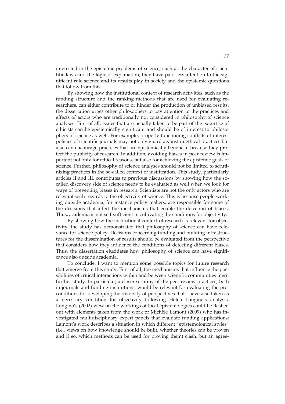interested in the epistemic problems of science, such as the character of scientific laws and the logic of explanation, they have paid less attention to the significant role science and its results play in society and the epistemic questions that follow from this.

By showing how the institutional context of research activities, such as the funding structure and the ranking methods that are used for evaluating researchers, can either contribute to or hinder the production of unbiased results, the dissertation urges other philosophers to pay attention to the practices and effects of actors who are traditionally not considered in philosophy of science analyses. First of all, issues that are usually taken to be part of the expertise of ethicists can be epistemically significant and should be of interest to philosophers of science as well. For example, properly functioning conflicts of interest policies of scientific journals may not only guard against unethical practices but also can encourage practices that are epistemically beneficial because they protect the publicity of research. In addition, avoiding biases in peer review is important not only for ethical reasons, but also for achieving the epistemic goals of science. Further, philosophy of science analyses should not be limited to scrutinizing practices in the so-called context of justification. This study, particularly articles II and III, contributes to previous discussions by showing how the socalled discovery side of science needs to be evaluated as well when we look for ways of preventing biases in research. Scientists are not the only actors who are relevant with regards to the objectivity of science. This is because people working outside academia, for instance policy makers, are responsible for some of the decisions that affect the mechanisms that enable the detection of biases. Thus, academia is not self-sufficient in cultivating the conditions for objectivity.

By showing how the institutional context of research is relevant for objectivity, the study has demonstrated that philosophy of science can have relevance for science policy. Decisions concerning funding and building infrastructures for the dissemination of results should be evaluated from the perspective that considers how they influence the conditions of detecting different biases. Thus, the dissertation elucidates how philosophy of science can have significance also outside academia.

To conclude, I want to mention some possible topics for future research that emerge from this study. First of all, the mechanisms that influence the possibilities of critical interactions within and between scientific communities merit further study. In particular, a closer scrutiny of the peer review practices, both in journals and funding institutions, would be relevant for evaluating the preconditions for developing the diversity of perspectives that I have also taken as a necessary condition for objectivity following Helen Longino's analysis. Longino's (2002) view on the workings of local epistemologies could be fleshed out with elements taken from the work of Michèle Lamont (2009) who has investigated multidisciplinary expert panels that evaluate funding applications: Lamont's work describes a situation in which different "epistemological styles" (i.e., views on how knowledge should be built, whether theories can be proven and if so, which methods can be used for proving them) clash, but an agree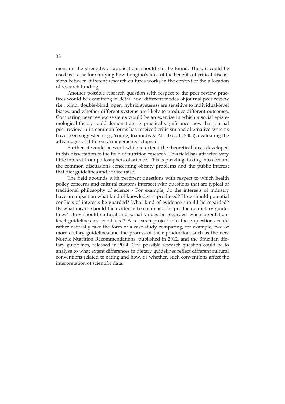ment on the strengths of applications should still be found. Thus, it could be used as a case for studying how Longino's idea of the benefits of critical discussions between different research cultures works in the context of the allocation of research funding.

Another possible research question with respect to the peer review practices would be examining in detail how different modes of journal peer review (i.e., blind, double-blind, open, hybrid systems) are sensitive to individual-level biases, and whether different systems are likely to produce different outcomes. Comparing peer review systems would be an exercise in which a social epistemological theory could demonstrate its practical significance: now that journal peer review in its common forms has received criticism and alternative systems have been suggested (e.g., Young, Ioannidis & Al-Ubaydli, 2008), evaluating the advantages of different arrangements is topical.

Further, it would be worthwhile to extend the theoretical ideas developed in this dissertation to the field of nutrition research. This field has attracted very little interest from philosophers of science. This is puzzling, taking into account the common discussions concerning obesity problems and the public interest that diet guidelines and advice raise.

The field abounds with pertinent questions with respect to which health policy concerns and cultural customs intersect with questions that are typical of traditional philosophy of science - For example, do the interests of industry have an impact on what kind of knowledge is produced? How should potential conflicts of interests be guarded? What kind of evidence should be regarded? By what means should the evidence be combined for producing dietary guidelines? How should cultural and social values be regarded when populationlevel guidelines are combined? A research project into these questions could rather naturally take the form of a case study comparing, for example, two or more dietary guidelines and the process of their production, such as the new Nordic Nutrition Recommendations, published in 2012, and the Brazilian dietary guidelines, released in 2014. One possible research question could be to analyse to what extent differences in dietary guidelines reflect different cultural conventions related to eating and how, or whether, such conventions affect the interpretation of scientific data.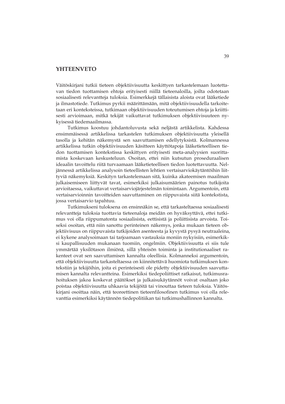#### **YHTEENVETO**

Väitöskirjani tutkii tieteen objektiivisuutta keskittyen tarkastelemaan luotettavan tiedon tuottamisen ehtoja erityisesti niillä tieteenaloilla, joilta odotetaan sosiaalisesti relevantteja tuloksia. Esimerkkejä tällaisista aloista ovat lääketiede ja ilmastotiede. Tutkimus pyrkii määrittämään, mitä objektiivisuudella tarkoitetaan eri konteksteissa, tutkimaan objektiivisuuden toteutumisen ehtoja ja kriittisesti arvioimaan, mitkä tekijät vaikuttavat tutkimuksen objektiivisuuteen nykyisessä tiedemaailmassa.

Tutkimus koostuu johdantoluvusta sekä neljästä artikkelista. Kahdessa ensimmäisessä artikkelissa tarkastelen tutkimuksen objektiivisuutta yleisellä tasolla ja kehitän näkemystä sen saavuttamisen edellytyksistä. Kolmannessa artikkelissa tutkin objektiivisuuden käsitteen käyttötapoja lääketieteellisen tiedon tuottamisen kontekstissa keskittyen erityisesti meta-analyysien suorittamista koskevaan keskusteluun. Osoitan, ettei niin kutsutun proseduraalisen ideaalin tavoittelu riitä turvaamaan lääketieteellisen tiedon luotettavuutta. Neljännessä artikkelissa analysoin tieteellisten lehtien vertaisarviokäytäntöihin liittyviä näkemyksiä. Keskityn tarkastelemaan sitä, kuinka akateemisen maailman julkaisemiseen liittyvät tavat, esimerkiksi julkaisumäärien painotus tutkijoita arvioitaessa, vaikuttavat vertaisarviojärjestelmän toimintaan. Argumentoin, että vertaisarvioinnin tavoitteiden saavuttaminen on riippuvaista siitä kontekstista, jossa vertaisarvio tapahtuu.

Tutkimukseni tuloksena on ensinnäkin se, että tarkasteltaessa sosiaalisesti relevantteja tuloksia tuottavia tieteenaloja meidän on hyväksyttävä, ettei tutkimus voi olla riippumatonta sosiaalisista, eettisistä ja poliittisista arvoista. Toiseksi osoitan, että niin sanottu perinteinen näkemys, jonka mukaan tieteen objektiivisuus on riippuvaista tutkijoiden asenteesta ja kyvystä pysyä neutraaleina, ei kykene analysoimaan tai tarjoamaan vastauksia moniin nykyisiin, esimerkiksi kaupallisuuden mukanaan tuomiin, ongelmiin. Objektiivisuutta ei siis tule ymmärtää yksilötason ilmiönä, sillä yhteisön toiminta ja institutionaaliset rakenteet ovat sen saavuttamisen kannalta oleellisia. Kolmanneksi argumentoin, että objektiivisuutta tarkasteltaessa on kiinnitettävä huomiota tutkimuksen kontekstiin ja tekijöihin, joita ei perinteisesti ole pidetty objektiivisuuden saavuttamisen kannalta relevantteina. Esimerkiksi tiedepoliittiset ratkaisut, tutkimusrahoituksen jakoa koskevat päätökset ja julkaisukäytännöt voivat osaltaan joko poistaa objektiivisuutta uhkaavia tekijöitä tai vinouttaa tieteen tuloksia. Väitöskirjani osoittaa näin, että teoreettinen tieteenfilosofinen tutkimus voi olla relevanttia esimerkiksi käytännön tiedepolitiikan tai tutkimushallinnon kannalta.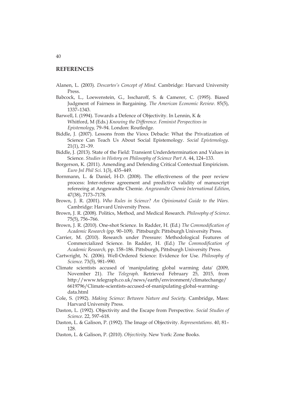#### **REFERENCES**

- Alanen, L. (2003). *Descartes's Concept of Mind.* Cambridge: Harvard University Press.
- Babcock, L., Loewenstein, G., Isscharoff, S. & Camerer, C. (1995). Biased Judgment of Fairness in Bargaining. *The American Economic Review.* 85(5), 1337–1343.

Barwell, I. (1994). Towards a Defence of Objectivity. In Lennin, K & Whitford, M (Eds.) *Knowing the Difference. Feminist Perspectives in Epistemology,* 79–94. London: Routledge.

- Biddle, J. (2007). Lessons from the Vioxx Debacle: What the Privatization of Science Can Teach Us About Social Epistemology. *Social Epistemology*. 21(1), 21–39.
- Biddle, J. (2013). State of the Field: Transient Underdetermination and Values in Science. *Studies in History on Philosophy of Science Part A.* 44, 124-133.
- Borgerson, K. (2011). Amending and Defending Critical Contextual Empiricism. *Euro Jnl Phil Sci*. 1(3), 435–449.
- Bornmann, L. & Daniel, H-D. (2008). The effectiveness of the peer review process: Inter-referee agreement and predictive validity of manuscript refereeing at Angewandte Chemie. *Angewandte Chemie International Edition*, 47(38), 7173–7178.
- Brown, J. R. (2001). *Who Rules in Science? An Opinionated Guide to the Wars.*  Cambridge: Harvard University Press.
- Brown, J. R. (2008). Politics, Method, and Medical Research. *Philosophy of Science*. 75(5), 756–766.
- Brown, J. R. (2010). One-shot Science. In Radder, H. (Ed.) *The Commodification of Academic Research* (pp. 90–109). Pittsburgh: Pittsburgh University Press.
- Carrier, M. (2010). Research under Pressure: Methodological Features of Commercialized Science. In Radder, H. (Ed.) *The Commodification of Academic Research,* pp. 158–186. Pittsburgh, Pittsburgh University Press.
- Cartwright, N. (2006). Well-Ordered Science: Evidence for Use. *Philosophy of Science.* 73(5), 981–990.
- Climate scientists accused of 'manipulating global warming data' (2009, November 21). *The Telegraph*. Retrieved February 25, 2015, from http://www.telegraph.co.uk/news/earth/environment/climatechange/ 6619796/Climate-scientists-accused-of-manipulating-global-warmingdata.html
- Cole, S. (1992). *Making Science: Between Nature and Society*. Cambridge, Mass: Harvard University Press.
- Daston, L. (1992). Objectivity and the Escape from Perspective. *Social Studies of Science*. 22, 597–618.
- Daston, L. & Galison, P. (1992). The Image of Objectivity. *Representations*. 40, 81– 128.
- Daston, L. & Galison, P. (2010). *Objectivity*. New York: Zone Books.

#### 40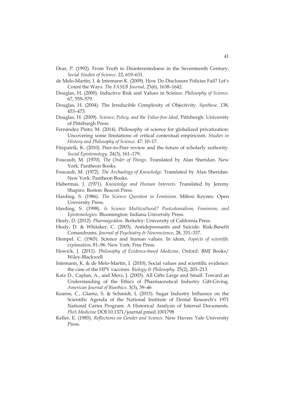- Dear, P. (1992). From Truth to Disinterestedness in the Seventeenth Century. *Social Studies of Science*. 22, 619–631.
- de Melo-Martín, I. & Intemann K. (2009). How Do Disclosure Policies Fail? Let's Count the Ways. *The FASEB Journal*, 23(6), 1638–1642.
- Douglas, H. (2000). Inductive Risk and Values in Science. *Philosophy of Science.* 67, 559–579.
- Douglas, H. (2004). The Irreducible Complexity of Objectivity. *Synthese.* 138, 453–473.
- Douglas, H. (2009). *Science, Policy, and the Value-free Ideal.* Pittsburgh: University of Pittsburgh Press.
- Fernández Pinto, M. (2014). Philosophy of science for globalized privatization: Uncovering some limitations of critical contextual empiricism. *Studies in History and Philosophy of Science.* 47: 10–17.
- Fitzpatrik, K. (2010). Peer-to-Peer review and the future of scholarly authority. *Social Epistemology*. 24(3), 161–179.
- Foucault, M. (1970). *The Order of Things.* Translated by Alan Sheridan. New York: Pantheon Books.
- Foucault, M. (1972). *The Archaelogy of Knowledge.* Translated by Alan Sheridan*.*  New York: Pantheon Books.
- Habermas, J. (1971). *Knowledge and Human Interests.* Translated by Jeremy Shapiro. Boston: Beacon Press.
- Harding, S. (1986). *The Science Question in Feminism.* Milton Keynes: Open University Press.
- Harding, S. (1998). *Is Science Multicultural? Postcolonialism, Feminism, and Epistemologies.* Bloomington: Indiana University Press.
- Healy, D. (2012). *Pharmageddon*. Berkeley: University of California Press.
- Healy, D. & Whitaker, C. (2003). Antidepressants and Suicide: Risk-Benefit Conundrums*. Journal of Psychiatry & Neuroscience*, 28, 331–337.
- Hempel. C. (1965). Science and human values. In idem, *Aspects of scientific explanation,* 81–96. New York: Free Press.
- Howick, J. (2011). *Philosophy of Evidence-based Medicine*. Oxford: BMJ Books/ Wiley-Blackwell
- Intemann, K. & de Melo-Martín, I. (2010). Social values and scientific evidence: the case of the HPV vaccines. *Biology & Philosophy.* 25(2), 203–213.
- Katz D., Caplan, A., and Merz, J. (2003). All Gifts Large and Small: Toward an Understanding of the Ethics of Pharmaceutical Industry Gift-Giving. *American Journal of Bioethics*. 3(3), 39–46
- Kearns, C., Glantz, S. & Schmidt, L (2015). Sugar Industry Influence on the Scientific Agenda of the National Institute of Dental Research's 1971 National Caries Program: A Historical Analysis of Internal Documents. *PloS Medicine* DOI:10.1371/journal.pmed.1001798
- Keller, E. (1985). *Reflections on Gender and Science.* New Haven: Yale University Press.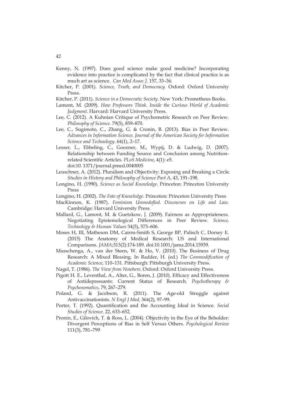- Kenny, N. (1997). Does good science make good medicine? Incorporating evidence into practice is complicated by the fact that clinical practice is as much art as science. *Can Med Assoc J*. 157, 33–36.
- Kitcher, P. (2001). *Science, Truth, and Democracy.* Oxford: Oxford University Press.
- Kitcher, P. (2011). *Science in a Democratic Society.* New York: Prometheus Books.
- Lamont, M. (2009). *How Professors Think. Inside the Curious World of Academic Judgment.* Harvard: Harvard University Press.
- Lee, C. (2012). A Kuhnian Critique of Psychometric Research on Peer Review. *Philosophy of Science*. 79(5), 859–870.
- Lee, C., Sugimoto, C., Zhang, G. & Cronin, B. (2013). Bias in Peer Review. *Advances in Information Science. Journal of the American Society for Information Science and Technology*. 64(1), 2–17.
- Lesser, L., Ebbeling, C., Goozner, M., Wypij, D. & Ludwig, D. (2007). Relationship between Funding Source and Conclusion among Nutritionrelated Scientific Articles. *PLoS Medicine*, 4(1): e5. doi:10. 1371/journal.pmed.0040005
- Leuschner, A. (2012). Pluralism and Objectivity: Exposing and Breaking a Circle. *Studies in History and Philosophy of Science Part A*, 43, 191–198.
- Longino, H. (1990). *Science as Social Knowledge.* Princeton: Princeton University Press
- Longino, H. (2002). *The Fate of Knowledge.* Princeton: Princeton University Press
- MacKinnon, K. (1987). *Feminism Unmodofied. Discourses on Life and Law.*  Cambridge: Harvard University Press.
- Mallard, G., Lamont, M. & Guetzkow, J. (2009). Fairness as Appropriateness. Negotiating Epistemological Differences in Peer Review. *Science, Technology & Human Values* 34(5), 573–606.
- Moses H, III, Matheson DM, Cairns-Smith S, George BP, Palisch C, Dorsey E. (2015) The Anatomy of Medical Research: US and International Comparisons. *JAMA*;313(2):174-189. doi:10.1001/jama.2014.15939.
- Musschenga, A., van der Steen, W. & Ho, V. (2010). The Business of Drug Research: A Mixed Blessing. In Radder, H. (ed.) *The Commodification of Academic Science*, 110–131*.* Pittsburgh: Pittsburgh University Press.
- Nagel, T. (1986). *The View from Nowhere.* Oxford: Oxford University Press.
- Pigott H. E., Leventhal, A., Alter, G., Boren, J. (2010). Efficacy and Effectiveness of Antidepressants: Current Status of Research. *Psychotherapy & Psychosomatics*, 79, 267–279.
- Poland, G. & Jacobson, R. (2011). The Age-old Struggle against Antivaccinationists*. N Engl J Med,* 364(2), 97–99.
- Porter, T. (1992). Quantification and the Accounting Ideal in Science. *Social Studies of Science.* 22, 633–652.
- Pronin, E., Gilovich, T. & Ross, L. (2004). Objectivity in the Eye of the Beholder: Divergent Perceptions of Bias in Self Versus Others. *Psychological Review* 111(3), 781–799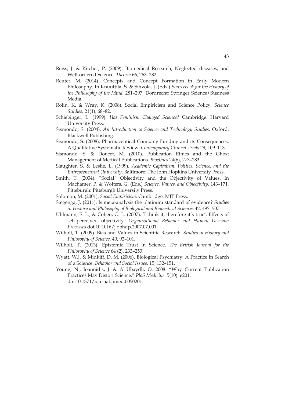- Reiss, J. & Kitcher, P. (2009). Biomedical Research, Neglected diseases, and Well-ordered Science. *Theoria* 66, 263–282.
- Reuter, M. (2014). Concepts and Concept Formation in Early Modern Philosophy. In Knuuttila, S. & Sihvola, J. (Eds.) *Sourcebook for the History of the Philosophy of the Mind,* 281–297. Dordrecht: Springer Science+Business Media*.*
- Rolin, K. & Wray, K. (2008). Social Empiricism and Science Policy. *Science Studies,* 21(1), 68–82.
- Schiebinger, L. (1999). *Has Feminism Changed Science?* Cambridge: Harvard University Press.
- Sismondo, S. (2004). *An Introduction to Science and Technology Studies.* Oxford: Blackwell Publishing.
- Sismondo, S. (2008). Pharmaceutical Company Funding and its Consequences. A Qualitative Systematic Review. *Contemporary Clinical Trials* 29, 109–113.
- Sismondo, S. & Doucet, M. (2010). Publication Ethics and the Ghost Management of Medical Publications. *Bioethics* 24(6), 273–283
- Slaughter, S. & Leslie, L. (1999). *Academic Capitalism. Politics, Science, and the Entrepreneurial University*. Baltimore: The John Hopkins University Press.
- Smith, T. (2004). "Social" Objectivity and the Objectivity of Values. In Machamer, P. & Wolters, G. (Eds.) *Science, Values, and Objectivity,* 143–171*.* Pittsburgh: Pittsburgh University Press.
- Solomon, M. (2001). *Social Empiricism.* Cambridge: MIT Press.
- Stegenga, J. (2011). Is meta-analysis the platinum standard of evidence? *Studies in History and Philosophy of Biological and Biomedical Sciences* 42, 497–507.
- Uhlmann, E. L., & Cohen, G. L. (2007). 'I think it, therefore it's true': Effects of self-perceived objectivity. *Organizational Behavior and Human Decision Processes* doi:10.1016/j.obhdp.2007.07.001
- Wilholt, T. (2009). Bias and Values in Scientific Research*. Studies in History and Philosophy of Science.* 40, 92–101.
- Wilholt, T. (2013). Epistemic Trust in Science. *The British Journal for the Philosophy of Science* 64 (2), 233–253.
- Wyatt, W.J. & Midkiff, D. M. (2006). Biological Psychiatry: A Practice in Search of a Science. *Behavior and Social Issues.* 15, 132–151.
- Young, N., Ioannidis, J. & Al-Ubaydli, O. 2008. "Why Current Publication Practices May Distort Science." *PloS Medicine.* 5(10): e201. doi:10.1371/journal.pmed.0050201.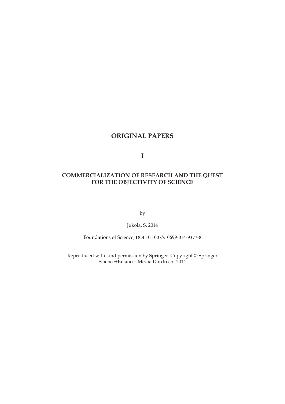## **ORIGINAL PAPERS**

**I** 

### **COMMERCIALIZATION OF RESEARCH AND THE QUEST FOR THE OBJECTIVITY OF SCIENCE**

by

Jukola, S, 2014

Foundations of Science, DOI 10.1007/s10699-014-9377-8

Reproduced with kind permission by Springer. Copyright © Springer Science+Business Media Dordrecht 2014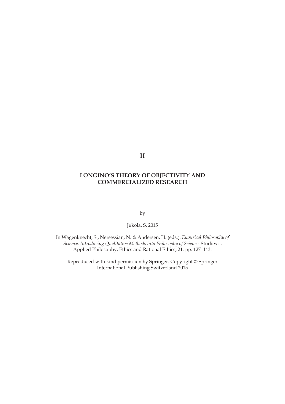**II** 

### **LONGINO'S THEORY OF OBJECTIVITY AND COMMERCIALIZED RESEARCH**

by

Jukola, S, 2015

In Wagenknecht, S., Nersessian, N. & Andersen, H. (eds.): *Empirical Philosophy of Science. Introducing Qualitative Methods into Philosophy of Science.* Studies is Applied Philosophy, Ethics and Rational Ethics, 21. pp. 127–143.

Reproduced with kind permission by Springer. Copyright © Springer International Publishing Switzerland 2015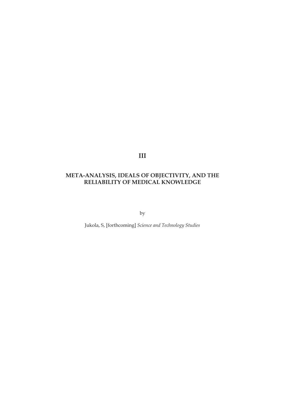**III** 

### **META-ANALYSIS, IDEALS OF OBJECTIVITY, AND THE RELIABILITY OF MEDICAL KNOWLEDGE**

by

Jukola, S, [forthcoming] *Science and Technology Studies*